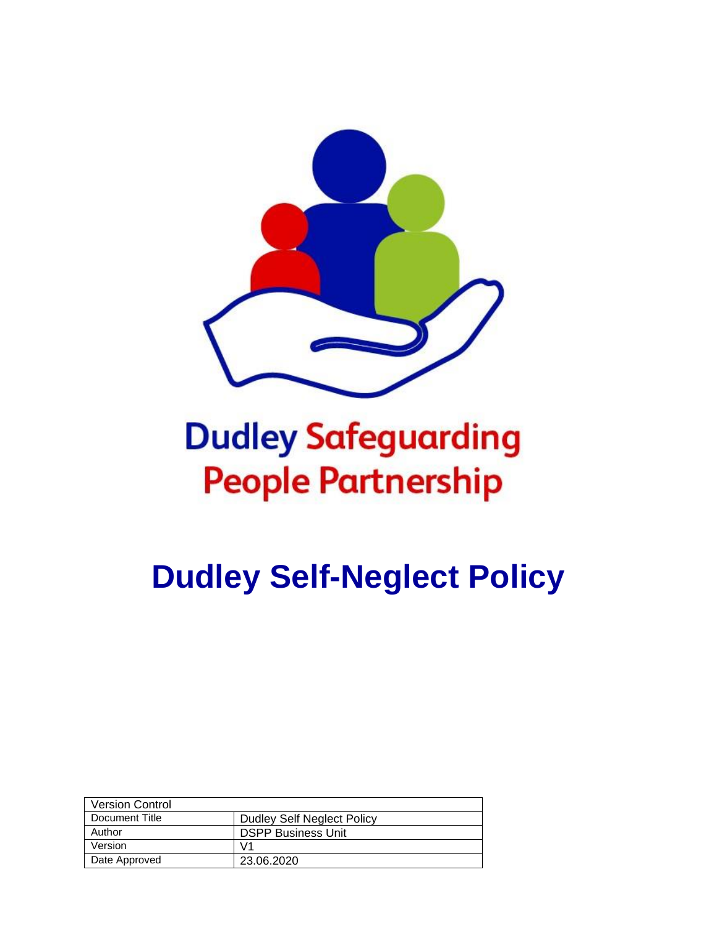

# **Dudley Safeguarding People Partnership**

**Dudley Self-Neglect Policy**

| <b>Version Control</b> |                                   |
|------------------------|-----------------------------------|
| Document Title         | <b>Dudley Self Neglect Policy</b> |
| Author                 | <b>DSPP Business Unit</b>         |
| Version                | V1                                |
| Date Approved          | 23.06.2020                        |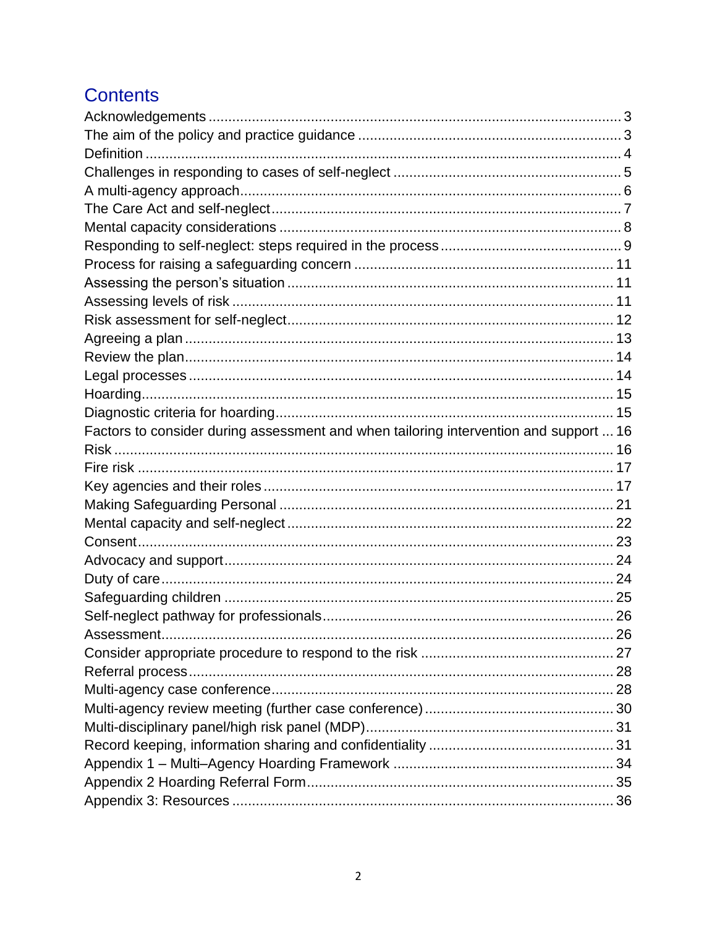# **Contents**

| Factors to consider during assessment and when tailoring intervention and support  16 |  |
|---------------------------------------------------------------------------------------|--|
|                                                                                       |  |
|                                                                                       |  |
|                                                                                       |  |
|                                                                                       |  |
|                                                                                       |  |
|                                                                                       |  |
|                                                                                       |  |
|                                                                                       |  |
|                                                                                       |  |
|                                                                                       |  |
|                                                                                       |  |
|                                                                                       |  |
|                                                                                       |  |
|                                                                                       |  |
|                                                                                       |  |
|                                                                                       |  |
|                                                                                       |  |
|                                                                                       |  |
|                                                                                       |  |
|                                                                                       |  |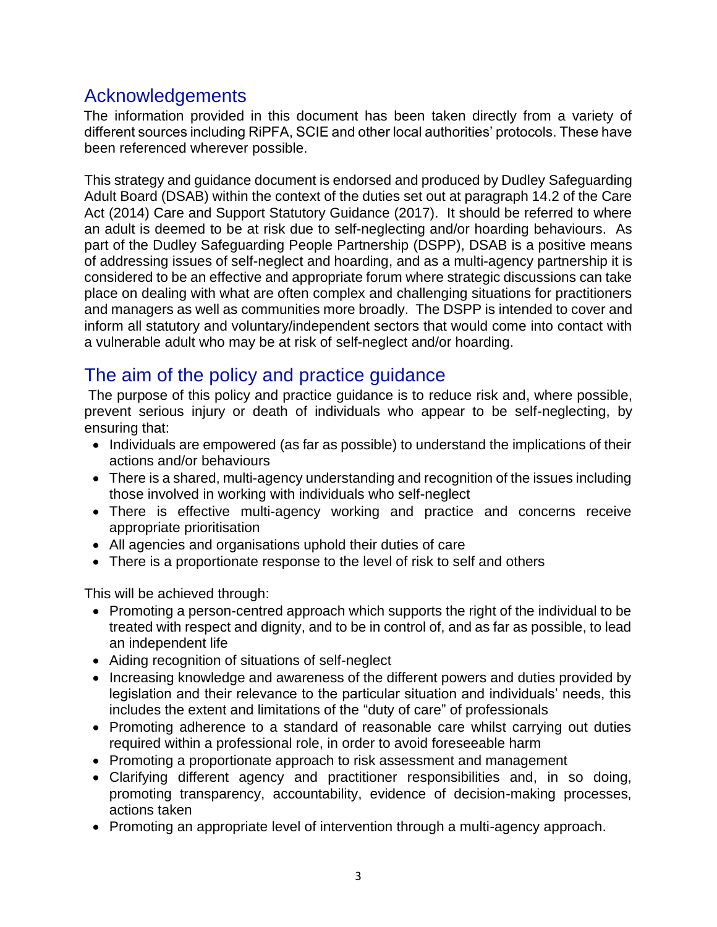# <span id="page-2-0"></span>Acknowledgements

The information provided in this document has been taken directly from a variety of different sources including RiPFA, SCIE and other local authorities' protocols. These have been referenced wherever possible.

This strategy and guidance document is endorsed and produced by Dudley Safeguarding Adult Board (DSAB) within the context of the duties set out at paragraph 14.2 of the Care Act (2014) Care and Support Statutory Guidance (2017). It should be referred to where an adult is deemed to be at risk due to self-neglecting and/or hoarding behaviours. As part of the Dudley Safeguarding People Partnership (DSPP), DSAB is a positive means of addressing issues of self-neglect and hoarding, and as a multi-agency partnership it is considered to be an effective and appropriate forum where strategic discussions can take place on dealing with what are often complex and challenging situations for practitioners and managers as well as communities more broadly. The DSPP is intended to cover and inform all statutory and voluntary/independent sectors that would come into contact with a vulnerable adult who may be at risk of self-neglect and/or hoarding.

# <span id="page-2-1"></span>The aim of the policy and practice guidance

The purpose of this policy and practice guidance is to reduce risk and, where possible, prevent serious injury or death of individuals who appear to be self-neglecting, by ensuring that:

- Individuals are empowered (as far as possible) to understand the implications of their actions and/or behaviours
- There is a shared, multi-agency understanding and recognition of the issues including those involved in working with individuals who self-neglect
- There is effective multi-agency working and practice and concerns receive appropriate prioritisation
- All agencies and organisations uphold their duties of care
- There is a proportionate response to the level of risk to self and others

This will be achieved through:

- Promoting a person-centred approach which supports the right of the individual to be treated with respect and dignity, and to be in control of, and as far as possible, to lead an independent life
- Aiding recognition of situations of self-neglect
- Increasing knowledge and awareness of the different powers and duties provided by legislation and their relevance to the particular situation and individuals' needs, this includes the extent and limitations of the "duty of care" of professionals
- Promoting adherence to a standard of reasonable care whilst carrying out duties required within a professional role, in order to avoid foreseeable harm
- Promoting a proportionate approach to risk assessment and management
- Clarifying different agency and practitioner responsibilities and, in so doing, promoting transparency, accountability, evidence of decision-making processes, actions taken
- Promoting an appropriate level of intervention through a multi-agency approach.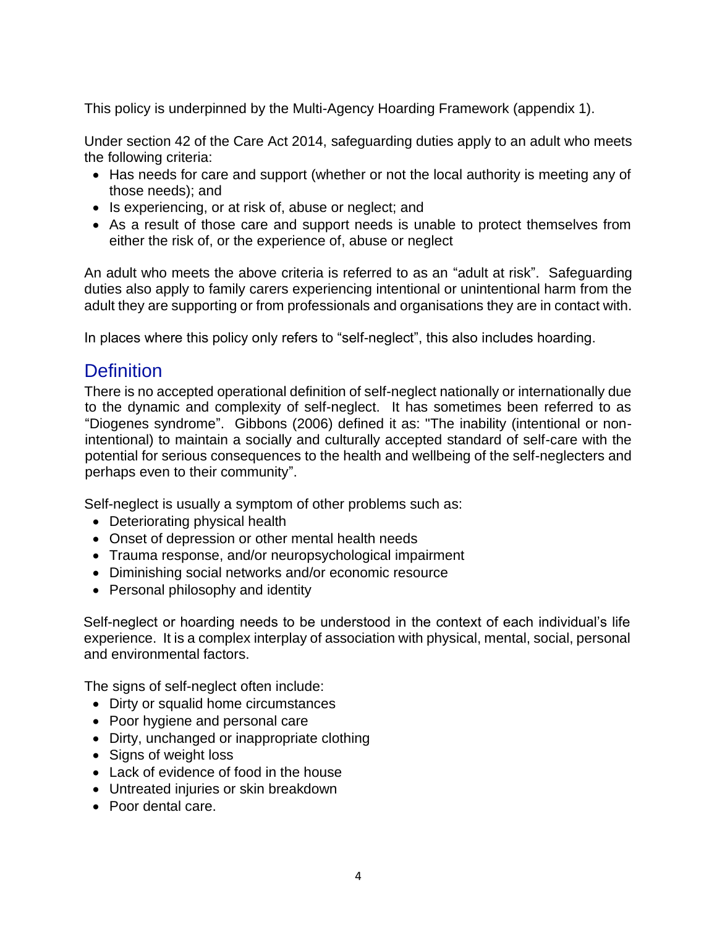This policy is underpinned by the Multi-Agency Hoarding Framework (appendix 1).

Under section 42 of the Care Act 2014, safeguarding duties apply to an adult who meets the following criteria:

- Has needs for care and support (whether or not the local authority is meeting any of those needs); and
- Is experiencing, or at risk of, abuse or neglect; and
- As a result of those care and support needs is unable to protect themselves from either the risk of, or the experience of, abuse or neglect

An adult who meets the above criteria is referred to as an "adult at risk". Safeguarding duties also apply to family carers experiencing intentional or unintentional harm from the adult they are supporting or from professionals and organisations they are in contact with.

In places where this policy only refers to "self-neglect", this also includes hoarding.

### <span id="page-3-0"></span>**Definition**

There is no accepted operational definition of self-neglect nationally or internationally due to the dynamic and complexity of self-neglect. It has sometimes been referred to as "Diogenes syndrome[".](https://en.wikipedia.org/wiki/Diogenes_syndrome) Gibbons (2006) defined it as: "The inability (intentional or nonintentional) to maintain a socially and culturally accepted standard of self-care with the potential for serious consequences to the health and wellbeing of the self-neglecters and perhaps even to their community".

Self-neglect is usually a symptom of other problems such as:

- Deteriorating physical health
- Onset of depression or other mental health needs
- Trauma response, and/or neuropsychological impairment
- Diminishing social networks and/or economic resource
- Personal philosophy and identity

Self-neglect or hoarding needs to be understood in the context of each individual's life experience. It is a complex interplay of association with physical, mental, social, personal and environmental factors.

The signs of self-neglect often include:

- Dirty or squalid home circumstances
- Poor hygiene and personal care
- Dirty, unchanged or inappropriate clothing
- Signs of weight loss
- Lack of evidence of food in the house
- Untreated injuries or skin breakdown
- Poor dental care.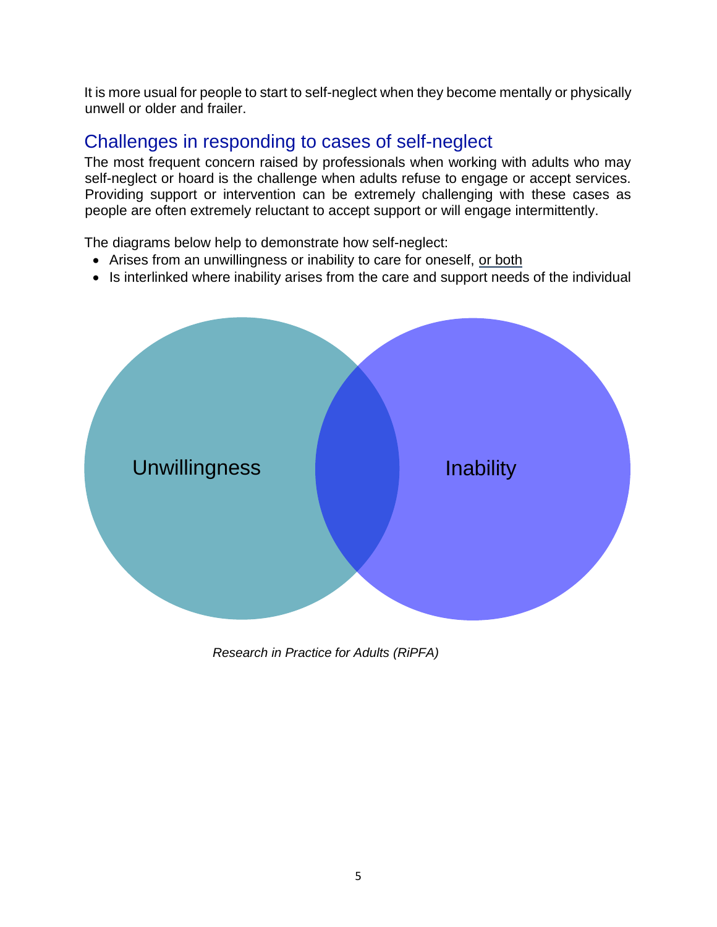It is more usual for people to start to self-neglect when they become mentally or physically unwell or older and frailer.

# <span id="page-4-0"></span>Challenges in responding to cases of self-neglect

The most frequent concern raised by professionals when working with adults who may self-neglect or hoard is the challenge when adults refuse to engage or accept services. Providing support or intervention can be extremely challenging with these cases as people are often extremely reluctant to accept support or will engage intermittently.

The diagrams below help to demonstrate how self-neglect:

- Arises from an unwillingness or inability to care for oneself, or both
- Is interlinked where inability arises from the care and support needs of the individual



*Research in Practice for Adults (RiPFA)*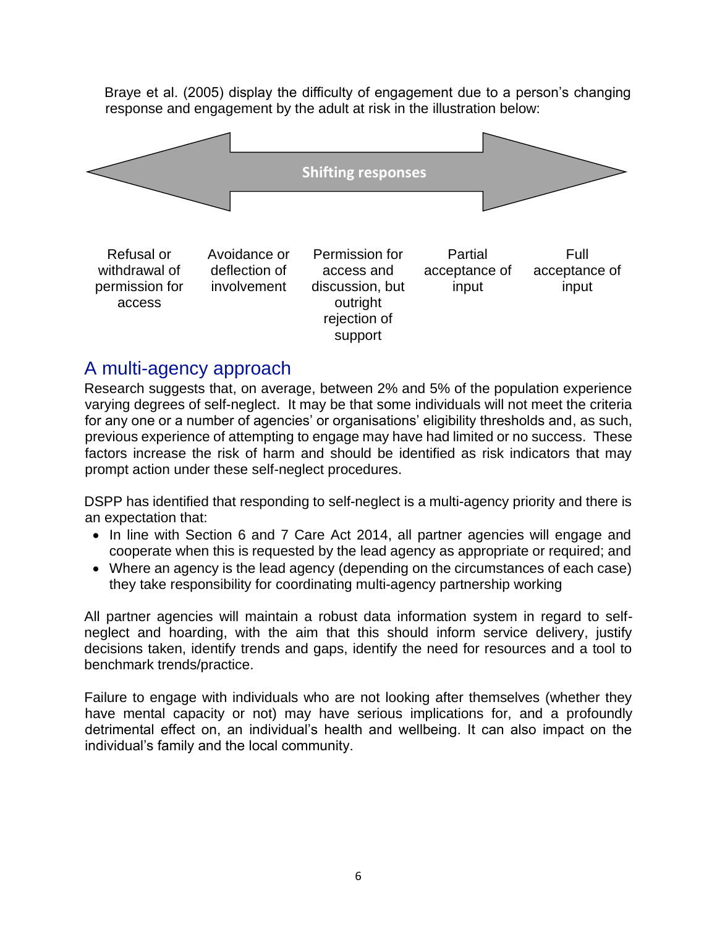Braye et al. (2005) display the difficulty of engagement due to a person's changing response and engagement by the adult at risk in the illustration below:



withdrawal of permission for access deflection of involvement access and discussion, but outright rejection of support acceptance of input acceptance of input

### <span id="page-5-0"></span>A multi-agency approach

Research suggests that, on average, between 2% and 5% of the population experience varying degrees of self-neglect. It may be that some individuals will not meet the criteria for any one or a number of agencies' or organisations' eligibility thresholds and, as such, previous experience of attempting to engage may have had limited or no success. These factors increase the risk of harm and should be identified as risk indicators that may prompt action under these self-neglect procedures.

DSPP has identified that responding to self-neglect is a multi-agency priority and there is an expectation that:

- In line with Section 6 and 7 Care Act 2014, all partner agencies will engage and cooperate when this is requested by the lead agency as appropriate or required; and
- Where an agency is the lead agency (depending on the circumstances of each case) they take responsibility for coordinating multi-agency partnership working

All partner agencies will maintain a robust data information system in regard to selfneglect and hoarding, with the aim that this should inform service delivery, justify decisions taken, identify trends and gaps, identify the need for resources and a tool to benchmark trends/practice.

Failure to engage with individuals who are not looking after themselves (whether they have mental capacity or not) may have serious implications for, and a profoundly detrimental effect on, an individual's health and wellbeing. It can also impact on the individual's family and the local community.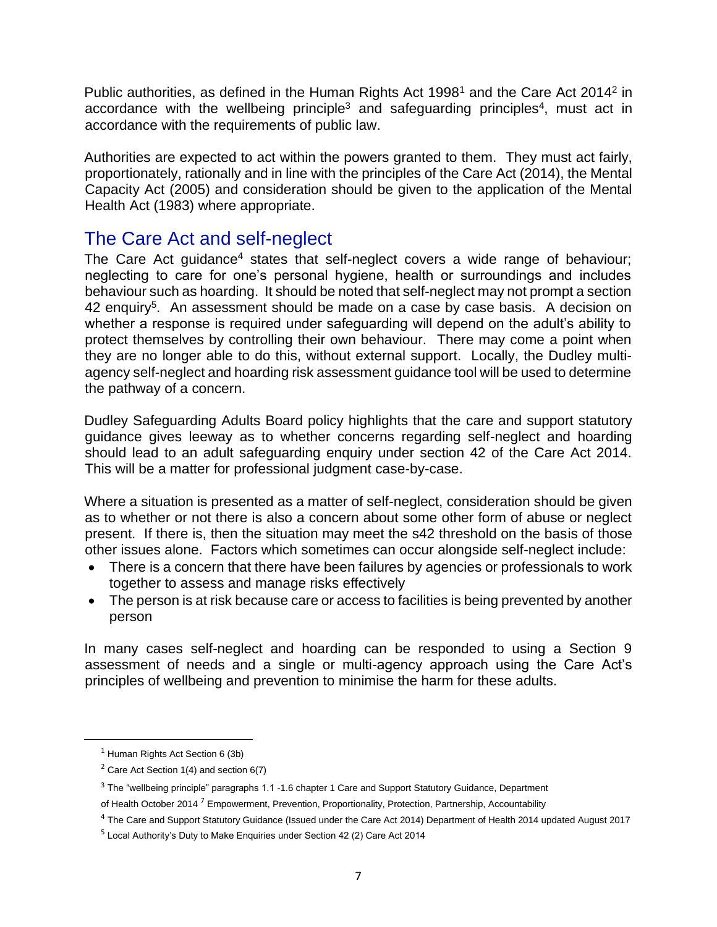Public authorities, as defined in the Human Rights Act 1998<sup>1</sup> and the Care Act 2014<sup>2</sup> in accordance with the wellbeing principle<sup>3</sup> and safeguarding principles<sup>4</sup>, must act in accordance with the requirements of public law.

Authorities are expected to act within the powers granted to them. They must act fairly, proportionately, rationally and in line with the principles of the Care Act (2014), the Mental Capacity Act (2005) and consideration should be given to the application of the Mental Health Act (1983) where appropriate.

# <span id="page-6-0"></span>The Care Act and self-neglect

The Care Act guidance<sup>4</sup> states that self-neglect covers a wide range of behaviour; neglecting to care for one's personal hygiene, health or surroundings and includes behaviour such as hoarding. It should be noted that self-neglect may not prompt a section 42 enquiry<sup>5</sup>. An assessment should be made on a case by case basis. A decision on whether a response is required under safeguarding will depend on the adult's ability to protect themselves by controlling their own behaviour. There may come a point when they are no longer able to do this, without external support. Locally, the Dudley multiagency self-neglect and hoarding risk assessment guidance tool will be used to determine the pathway of a concern.

Dudley Safeguarding Adults Board policy highlights that the care and support statutory guidance gives leeway as to whether concerns regarding self-neglect and hoarding should lead to an adult safeguarding enquiry under section 42 of the Care Act 2014. This will be a matter for professional judgment case-by-case.

Where a situation is presented as a matter of self-neglect, consideration should be given as to whether or not there is also a concern about some other form of abuse or neglect present. If there is, then the situation may meet the s42 threshold on the basis of those other issues alone. Factors which sometimes can occur alongside self-neglect include:

- There is a concern that there have been failures by agencies or professionals to work together to assess and manage risks effectively
- The person is at risk because care or access to facilities is being prevented by another person

In many cases self-neglect and hoarding can be responded to using a Section 9 assessment of needs and a single or multi-agency approach using the Care Act's principles of wellbeing and prevention to minimise the harm for these adults.

<sup>1</sup> Human Rights Act Section 6 (3b)

<sup>2</sup> Care Act Section 1(4) and section 6(7)

<sup>&</sup>lt;sup>3</sup> The "wellbeing principle" paragraphs 1.1 -1.6 chapter 1 Care and Support Statutory Guidance, Department of Health October 2014<sup>7</sup> Empowerment, Prevention, Proportionality, Protection, Partnership, Accountability

<sup>4</sup> The Care and Support Statutory Guidance (Issued under the Care Act 2014) Department of Health 2014 updated August 2017

 $^5$  Local Authority's Duty to Make Enquiries under Section 42 (2) Care Act 2014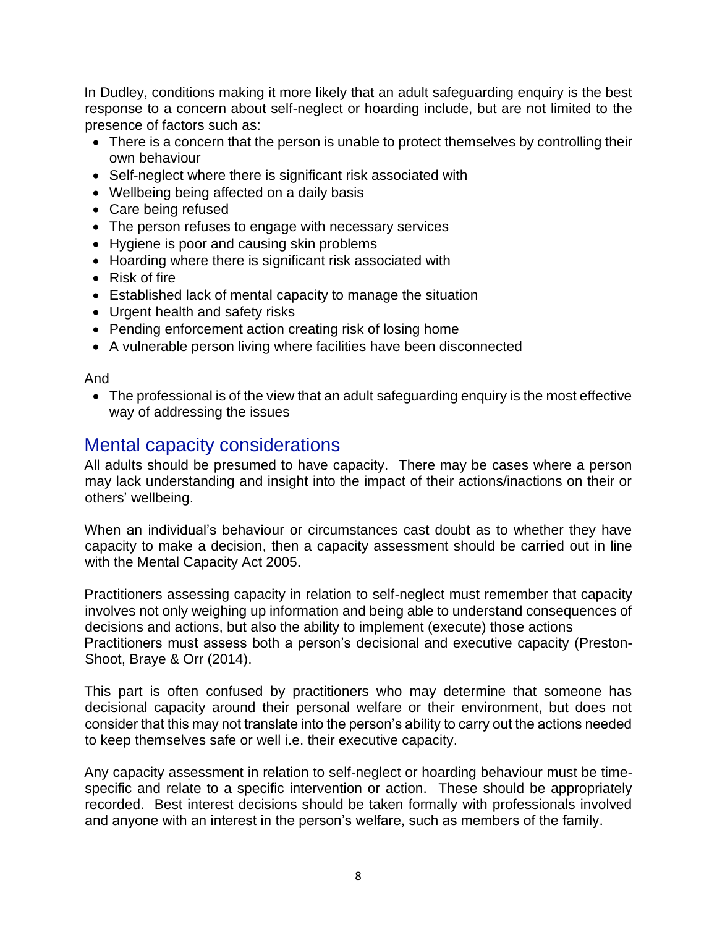In Dudley, conditions making it more likely that an adult safeguarding enquiry is the best response to a concern about self-neglect or hoarding include, but are not limited to the presence of factors such as:

- There is a concern that the person is unable to protect themselves by controlling their own behaviour
- Self-neglect where there is significant risk associated with
- Wellbeing being affected on a daily basis
- Care being refused
- The person refuses to engage with necessary services
- Hygiene is poor and causing skin problems
- Hoarding where there is significant risk associated with
- Risk of fire
- Established lack of mental capacity to manage the situation
- Urgent health and safety risks
- Pending enforcement action creating risk of losing home
- A vulnerable person living where facilities have been disconnected

#### And

• The professional is of the view that an adult safeguarding enquiry is the most effective way of addressing the issues

### <span id="page-7-0"></span>Mental capacity considerations

All adults should be presumed to have capacity. There may be cases where a person may lack understanding and insight into the impact of their actions/inactions on their or others' wellbeing.

When an individual's behaviour or circumstances cast doubt as to whether they have capacity to make a decision, then a capacity assessment should be carried out in line with the Mental Capacity Act 2005.

Practitioners assessing capacity in relation to self-neglect must remember that capacity involves not only weighing up information and being able to understand consequences of decisions and actions, but also the ability to implement (execute) those actions Practitioners must assess both a person's decisional and executive capacity (Preston-Shoot, Braye & Orr (2014).

This part is often confused by practitioners who may determine that someone has decisional capacity around their personal welfare or their environment, but does not consider that this may not translate into the person's ability to carry out the actions needed to keep themselves safe or well i.e. their executive capacity.

Any capacity assessment in relation to self-neglect or hoarding behaviour must be timespecific and relate to a specific intervention or action. These should be appropriately recorded. Best interest decisions should be taken formally with professionals involved and anyone with an interest in the person's welfare, such as members of the family.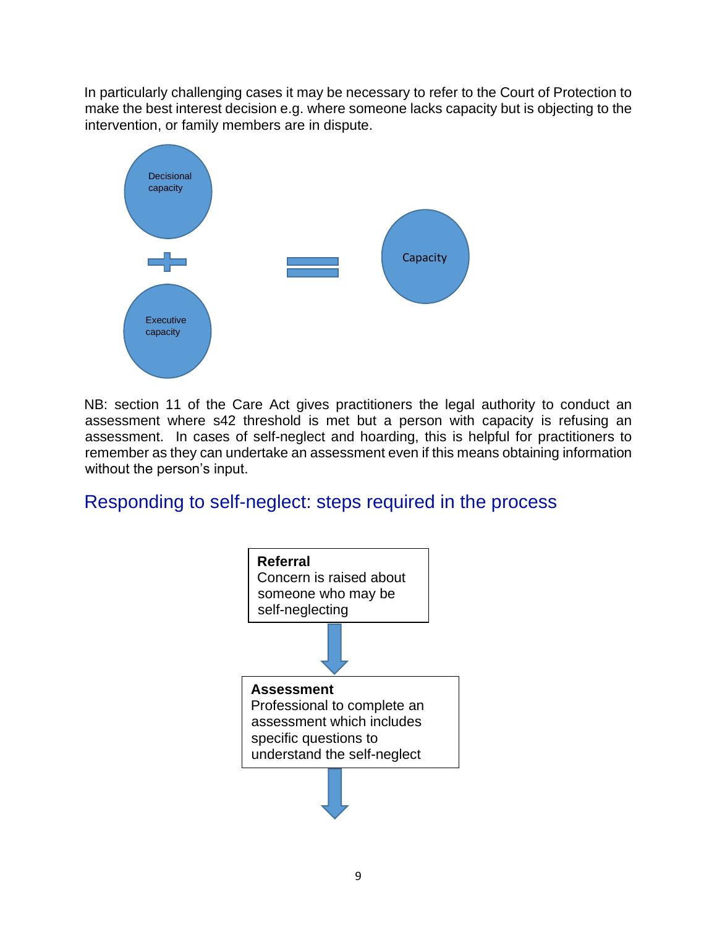In particularly challenging cases it may be necessary to refer to the Court of Protection to make the best interest decision e.g. where someone lacks capacity but is objecting to the intervention, or family members are in dispute.



NB: section 11 of the Care Act gives practitioners the legal authority to conduct an assessment where s42 threshold is met but a person with capacity is refusing an assessment. In cases of self-neglect and hoarding, this is helpful for practitioners to remember as they can undertake an assessment even if this means obtaining information without the person's input.

# <span id="page-8-0"></span>Responding to self-neglect: steps required in the process

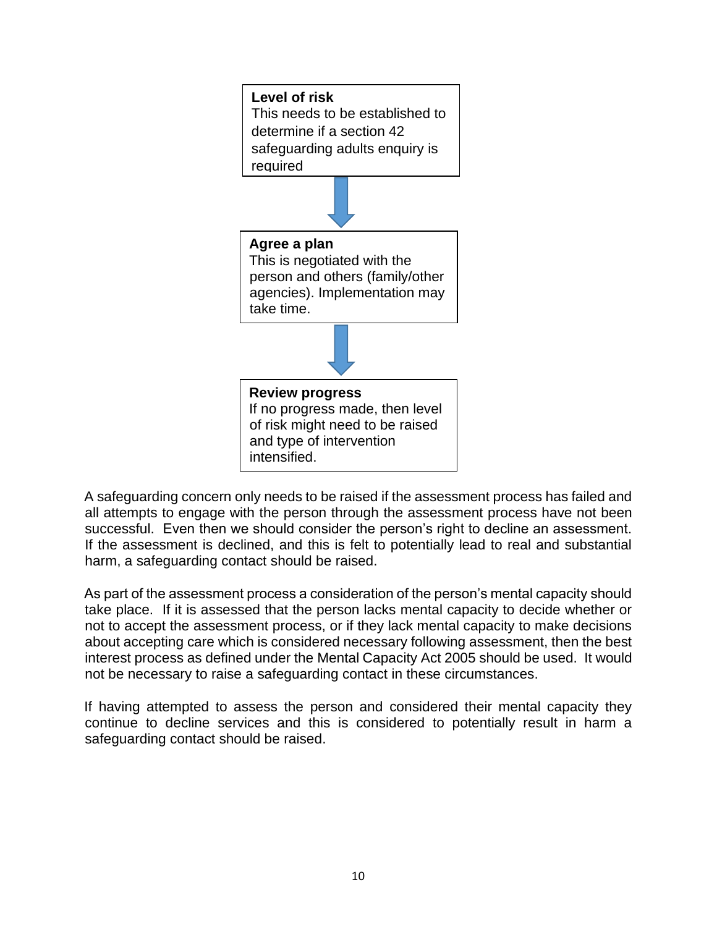

A safeguarding concern only needs to be raised if the assessment process has failed and all attempts to engage with the person through the assessment process have not been successful. Even then we should consider the person's right to decline an assessment. If the assessment is declined, and this is felt to potentially lead to real and substantial harm, a safeguarding contact should be raised.

As part of the assessment process a consideration of the person's mental capacity should take place. If it is assessed that the person lacks mental capacity to decide whether or not to accept the assessment process, or if they lack mental capacity to make decisions about accepting care which is considered necessary following assessment, then the best interest process as defined under the Mental Capacity Act 2005 should be used. It would not be necessary to raise a safeguarding contact in these circumstances.

If having attempted to assess the person and considered their mental capacity they continue to decline services and this is considered to potentially result in harm a safeguarding contact should be raised.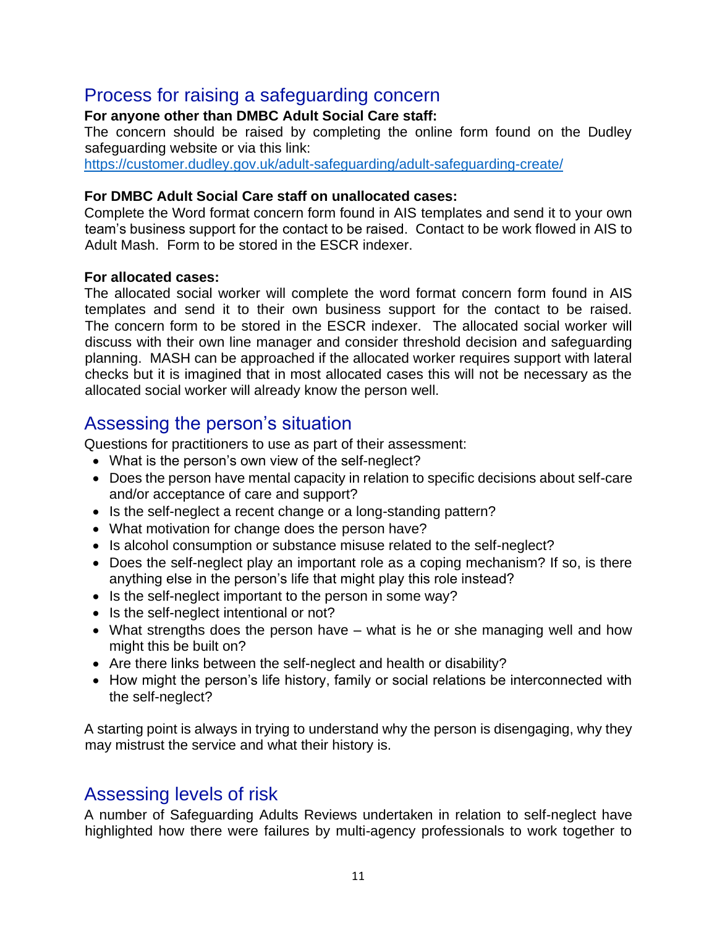# <span id="page-10-0"></span>Process for raising a safeguarding concern

#### **For anyone other than DMBC Adult Social Care staff:**

The concern should be raised by completing the online form found on the Dudley safeguarding website or via this link:

<https://customer.dudley.gov.uk/adult-safeguarding/adult-safeguarding-create/>

#### **For DMBC Adult Social Care staff on unallocated cases:**

Complete the Word format concern form found in AIS templates and send it to your own team's business support for the contact to be raised. Contact to be work flowed in AIS to Adult Mash. Form to be stored in the ESCR indexer.

#### **For allocated cases:**

The allocated social worker will complete the word format concern form found in AIS templates and send it to their own business support for the contact to be raised. The concern form to be stored in the ESCR indexer. The allocated social worker will discuss with their own line manager and consider threshold decision and safeguarding planning. MASH can be approached if the allocated worker requires support with lateral checks but it is imagined that in most allocated cases this will not be necessary as the allocated social worker will already know the person well.

# <span id="page-10-1"></span>Assessing the person's situation

Questions for practitioners to use as part of their assessment:

- What is the person's own view of the self-neglect?
- Does the person have mental capacity in relation to specific decisions about self-care and/or acceptance of care and support?
- Is the self-neglect a recent change or a long-standing pattern?
- What motivation for change does the person have?
- Is alcohol consumption or substance misuse related to the self-neglect?
- Does the self-neglect play an important role as a coping mechanism? If so, is there anything else in the person's life that might play this role instead?
- Is the self-neglect important to the person in some way?
- Is the self-neglect intentional or not?
- What strengths does the person have what is he or she managing well and how might this be built on?
- Are there links between the self-neglect and health or disability?
- How might the person's life history, family or social relations be interconnected with the self-neglect?

A starting point is always in trying to understand why the person is disengaging, why they may mistrust the service and what their history is.

### <span id="page-10-2"></span>Assessing levels of risk

A number of Safeguarding Adults Reviews undertaken in relation to self-neglect have highlighted how there were failures by multi-agency professionals to work together to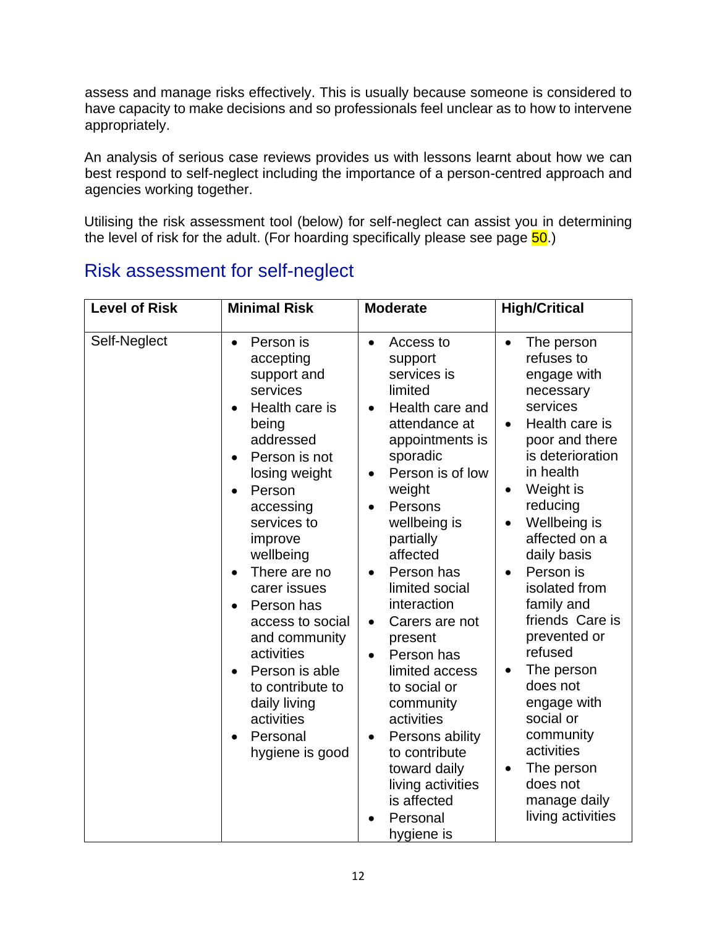assess and manage risks effectively. This is usually because someone is considered to have capacity to make decisions and so professionals feel unclear as to how to intervene appropriately.

An analysis of serious case reviews provides us with lessons learnt about how we can best respond to self-neglect including the importance of a person-centred approach and agencies working together.

Utilising the risk assessment tool (below) for self-neglect can assist you in determining the level of risk for the adult. (For hoarding specifically please see page  $\overline{50}$ .)

| <b>Level of Risk</b> | <b>Minimal Risk</b>                                                                                                                                                                                                                                                                                                                                                                                                                  | <b>Moderate</b>                                                                                                                                                                                                                                                                                                                                                                                                                                                                                                                                                                      | <b>High/Critical</b>                                                                                                                                                                                                                                                                                                                                                                                                                                                  |
|----------------------|--------------------------------------------------------------------------------------------------------------------------------------------------------------------------------------------------------------------------------------------------------------------------------------------------------------------------------------------------------------------------------------------------------------------------------------|--------------------------------------------------------------------------------------------------------------------------------------------------------------------------------------------------------------------------------------------------------------------------------------------------------------------------------------------------------------------------------------------------------------------------------------------------------------------------------------------------------------------------------------------------------------------------------------|-----------------------------------------------------------------------------------------------------------------------------------------------------------------------------------------------------------------------------------------------------------------------------------------------------------------------------------------------------------------------------------------------------------------------------------------------------------------------|
| Self-Neglect         | Person is<br>$\bullet$<br>accepting<br>support and<br>services<br>Health care is<br>being<br>addressed<br>Person is not<br>losing weight<br>Person<br>$\bullet$<br>accessing<br>services to<br>improve<br>wellbeing<br>There are no<br>$\bullet$<br>carer issues<br>Person has<br>access to social<br>and community<br>activities<br>Person is able<br>to contribute to<br>daily living<br>activities<br>Personal<br>hygiene is good | Access to<br>$\bullet$<br>support<br>services is<br>limited<br>Health care and<br>$\bullet$<br>attendance at<br>appointments is<br>sporadic<br>Person is of low<br>$\bullet$<br>weight<br>Persons<br>$\bullet$<br>wellbeing is<br>partially<br>affected<br>Person has<br>$\bullet$<br>limited social<br>interaction<br>Carers are not<br>$\bullet$<br>present<br>Person has<br>$\bullet$<br>limited access<br>to social or<br>community<br>activities<br>Persons ability<br>$\bullet$<br>to contribute<br>toward daily<br>living activities<br>is affected<br>Personal<br>hygiene is | The person<br>refuses to<br>engage with<br>necessary<br>services<br>Health care is<br>$\bullet$<br>poor and there<br>is deterioration<br>in health<br>Weight is<br>reducing<br>Wellbeing is<br>affected on a<br>daily basis<br>Person is<br>isolated from<br>family and<br>friends Care is<br>prevented or<br>refused<br>The person<br>does not<br>engage with<br>social or<br>community<br>activities<br>The person<br>does not<br>manage daily<br>living activities |

# <span id="page-11-0"></span>Risk assessment for self-neglect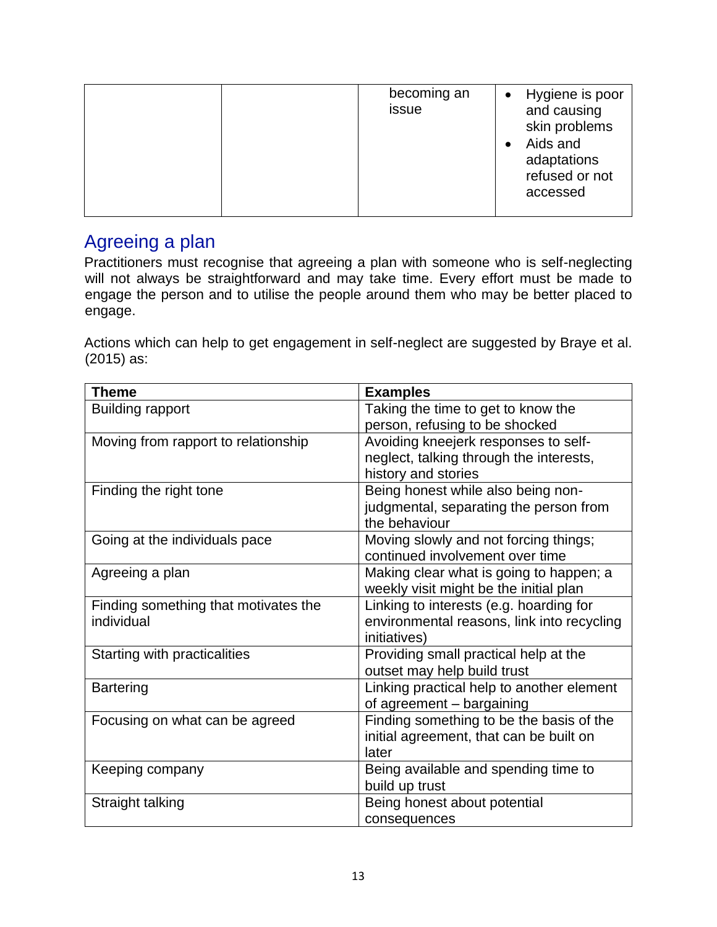|  | becoming an<br>issue | Hygiene is poor<br>$\bullet$<br>and causing<br>skin problems<br>Aids and<br>adaptations<br>refused or not<br>accessed |
|--|----------------------|-----------------------------------------------------------------------------------------------------------------------|
|--|----------------------|-----------------------------------------------------------------------------------------------------------------------|

# <span id="page-12-0"></span>Agreeing a plan

Practitioners must recognise that agreeing a plan with someone who is self-neglecting will not always be straightforward and may take time. Every effort must be made to engage the person and to utilise the people around them who may be better placed to engage.

Actions which can help to get engagement in self-neglect are suggested by Braye et al. (2015) as:

| <b>Theme</b>                         | <b>Examples</b>                            |
|--------------------------------------|--------------------------------------------|
| <b>Building rapport</b>              | Taking the time to get to know the         |
|                                      | person, refusing to be shocked             |
| Moving from rapport to relationship  | Avoiding kneejerk responses to self-       |
|                                      | neglect, talking through the interests,    |
|                                      | history and stories                        |
| Finding the right tone               | Being honest while also being non-         |
|                                      | judgmental, separating the person from     |
|                                      | the behaviour                              |
| Going at the individuals pace        | Moving slowly and not forcing things;      |
|                                      | continued involvement over time            |
| Agreeing a plan                      | Making clear what is going to happen; a    |
|                                      | weekly visit might be the initial plan     |
| Finding something that motivates the | Linking to interests (e.g. hoarding for    |
| individual                           | environmental reasons, link into recycling |
|                                      | initiatives)                               |
| Starting with practicalities         | Providing small practical help at the      |
|                                      | outset may help build trust                |
| <b>Bartering</b>                     | Linking practical help to another element  |
|                                      | of agreement - bargaining                  |
| Focusing on what can be agreed       | Finding something to be the basis of the   |
|                                      | initial agreement, that can be built on    |
|                                      | later                                      |
| Keeping company                      | Being available and spending time to       |
|                                      | build up trust                             |
| Straight talking                     | Being honest about potential               |
|                                      | consequences                               |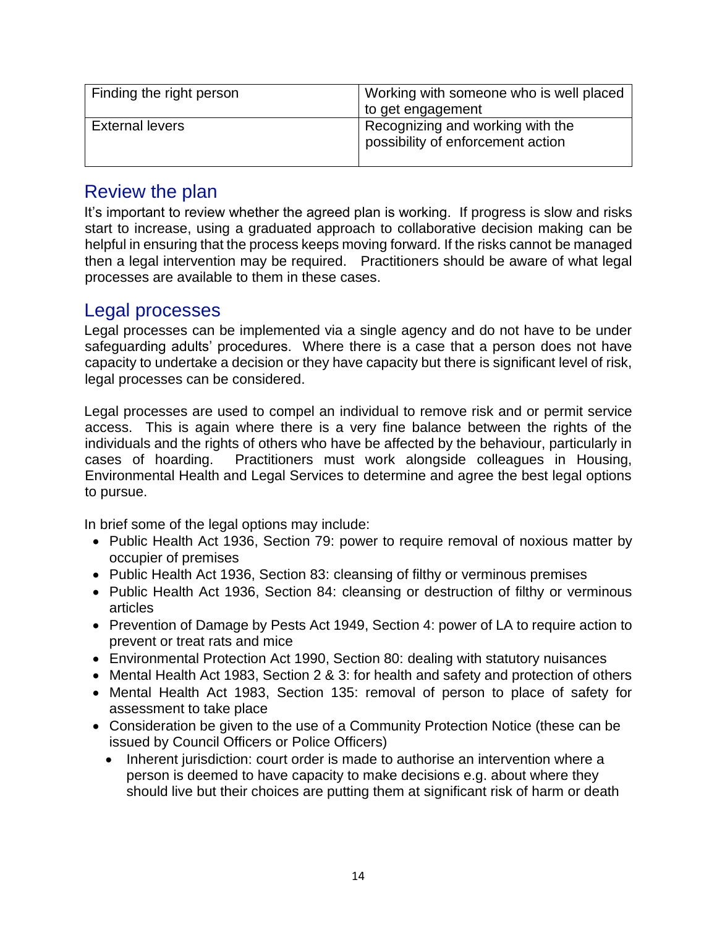| Finding the right person | Working with someone who is well placed                               |
|--------------------------|-----------------------------------------------------------------------|
|                          | to get engagement                                                     |
| <b>External levers</b>   | Recognizing and working with the<br>possibility of enforcement action |

### <span id="page-13-0"></span>Review the plan

It's important to review whether the agreed plan is working. If progress is slow and risks start to increase, using a graduated approach to collaborative decision making can be helpful in ensuring that the process keeps moving forward. If the risks cannot be managed then a legal intervention may be required. Practitioners should be aware of what legal processes are available to them in these cases.

### <span id="page-13-1"></span>Legal processes

Legal processes can be implemented via a single agency and do not have to be under safeguarding adults' procedures. Where there is a case that a person does not have capacity to undertake a decision or they have capacity but there is significant level of risk, legal processes can be considered.

Legal processes are used to compel an individual to remove risk and or permit service access. This is again where there is a very fine balance between the rights of the individuals and the rights of others who have be affected by the behaviour, particularly in cases of hoarding. Practitioners must work alongside colleagues in Housing, Environmental Health and Legal Services to determine and agree the best legal options to pursue.

In brief some of the legal options may include:

- Public Health Act 1936, Section 79: power to require removal of noxious matter by occupier of premises
- Public Health Act 1936, Section 83: cleansing of filthy or verminous premises
- Public Health Act 1936, Section 84: cleansing or destruction of filthy or verminous articles
- Prevention of Damage by Pests Act 1949, Section 4: power of LA to require action to prevent or treat rats and mice
- Environmental Protection Act 1990, Section 80: dealing with statutory nuisances
- Mental Health Act 1983, Section 2 & 3: for health and safety and protection of others
- Mental Health Act 1983, Section 135: removal of person to place of safety for assessment to take place
- Consideration be given to the use of a Community Protection Notice (these can be issued by Council Officers or Police Officers)
	- Inherent jurisdiction: court order is made to authorise an intervention where a person is deemed to have capacity to make decisions e.g. about where they should live but their choices are putting them at significant risk of harm or death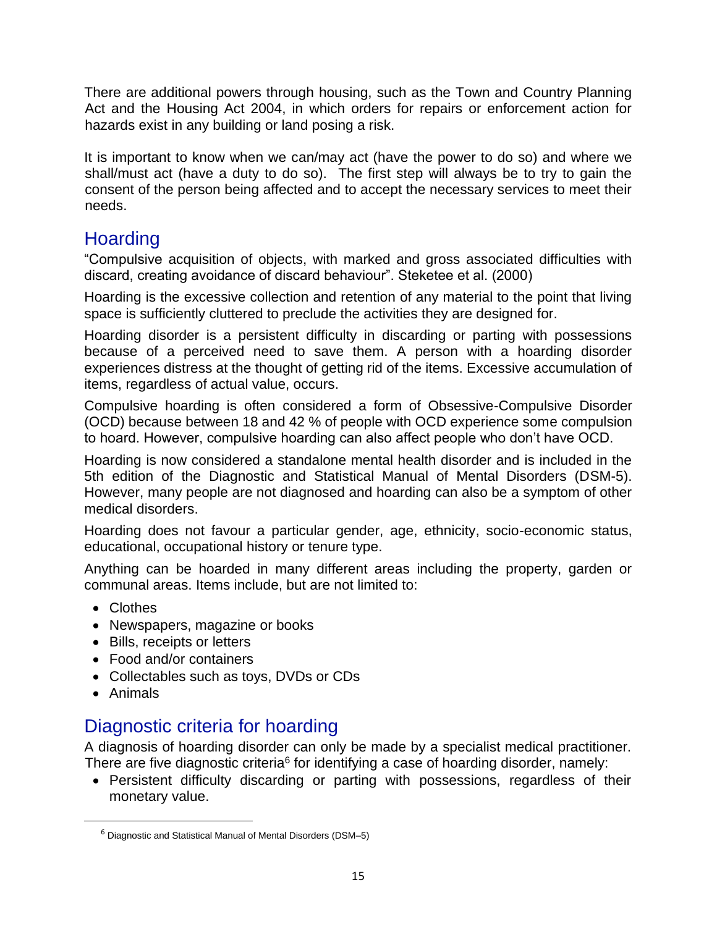There are additional powers through housing, such as the Town and Country Planning Act and the Housing Act 2004, in which orders for repairs or enforcement action for hazards exist in any building or land posing a risk.

It is important to know when we can/may act (have the power to do so) and where we shall/must act (have a duty to do so). The first step will always be to try to gain the consent of the person being affected and to accept the necessary services to meet their needs.

# <span id="page-14-0"></span>**Hoarding**

"Compulsive acquisition of objects, with marked and gross associated difficulties with discard, creating avoidance of discard behaviour". Steketee et al. (2000)

Hoarding is the excessive collection and retention of any material to the point that living space is sufficiently cluttered to preclude the activities they are designed for.

Hoarding disorder is a persistent difficulty in discarding or parting with possessions because of a perceived need to save them. A person with a hoarding disorder experiences distress at the thought of getting rid of the items. Excessive accumulation of items, regardless of actual value, occurs.

Compulsive hoarding is often considered a form of Obsessive-Compulsive Disorder (OCD) because between 18 and 42 % of people with OCD experience some compulsion to hoard. However, compulsive hoarding can also affect people who don't have OCD.

Hoarding is now considered a standalone mental health disorder and is included in the 5th edition of the Diagnostic and Statistical Manual of Mental Disorders (DSM-5). However, many people are not diagnosed and hoarding can also be a symptom of other medical disorders.

Hoarding does not favour a particular gender, age, ethnicity, socio-economic status, educational, occupational history or tenure type.

Anything can be hoarded in many different areas including the property, garden or communal areas. Items include, but are not limited to:

- Clothes
- Newspapers, magazine or books
- Bills, receipts or letters
- Food and/or containers
- Collectables such as toys, DVDs or CDs
- Animals

# <span id="page-14-1"></span>Diagnostic criteria for hoarding

A diagnosis of hoarding disorder can only be made by a specialist medical practitioner. There are five diagnostic criteria $6$  for identifying a case of hoarding disorder, namely:

• Persistent difficulty discarding or parting with possessions, regardless of their monetary value.

 $6$  Diagnostic and Statistical Manual of Mental Disorders (DSM-5)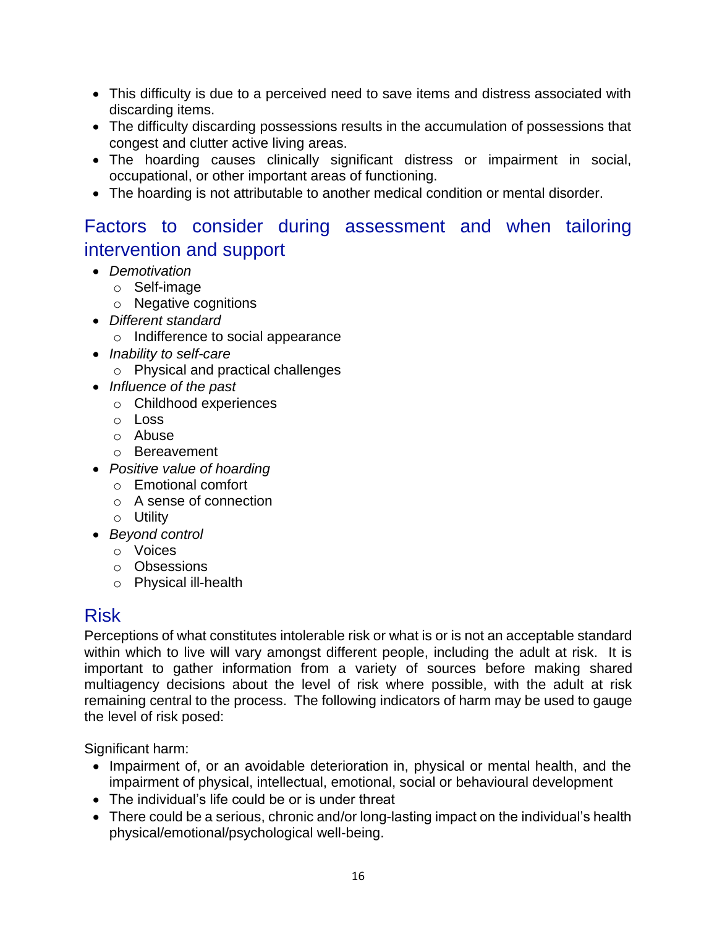- This difficulty is due to a perceived need to save items and distress associated with discarding items.
- The difficulty discarding possessions results in the accumulation of possessions that congest and clutter active living areas.
- The hoarding causes clinically significant distress or impairment in social, occupational, or other important areas of functioning.
- The hoarding is not attributable to another medical condition or mental disorder.

# <span id="page-15-0"></span>Factors to consider during assessment and when tailoring intervention and support

- *Demotivation*
	- o Self-image
		- o Negative cognitions
- *Different standard*
	- o Indifference to social appearance
- *Inability to self-care*
	- o Physical and practical challenges
- *Influence of the past*
	- o Childhood experiences
	- o Loss
	- o Abuse
	- o Bereavement
- *Positive value of hoarding*
	- o Emotional comfort
	- o A sense of connection
	- o Utility
- *Beyond control*
	- o Voices
	- o Obsessions
	- o Physical ill-health

### <span id="page-15-1"></span>Risk

Perceptions of what constitutes intolerable risk or what is or is not an acceptable standard within which to live will vary amongst different people, including the adult at risk. It is important to gather information from a variety of sources before making shared multiagency decisions about the level of risk where possible, with the adult at risk remaining central to the process. The following indicators of harm may be used to gauge the level of risk posed:

Significant harm:

- Impairment of, or an avoidable deterioration in, physical or mental health, and the impairment of physical, intellectual, emotional, social or behavioural development
- The individual's life could be or is under threat
- There could be a serious, chronic and/or long-lasting impact on the individual's health physical/emotional/psychological well-being.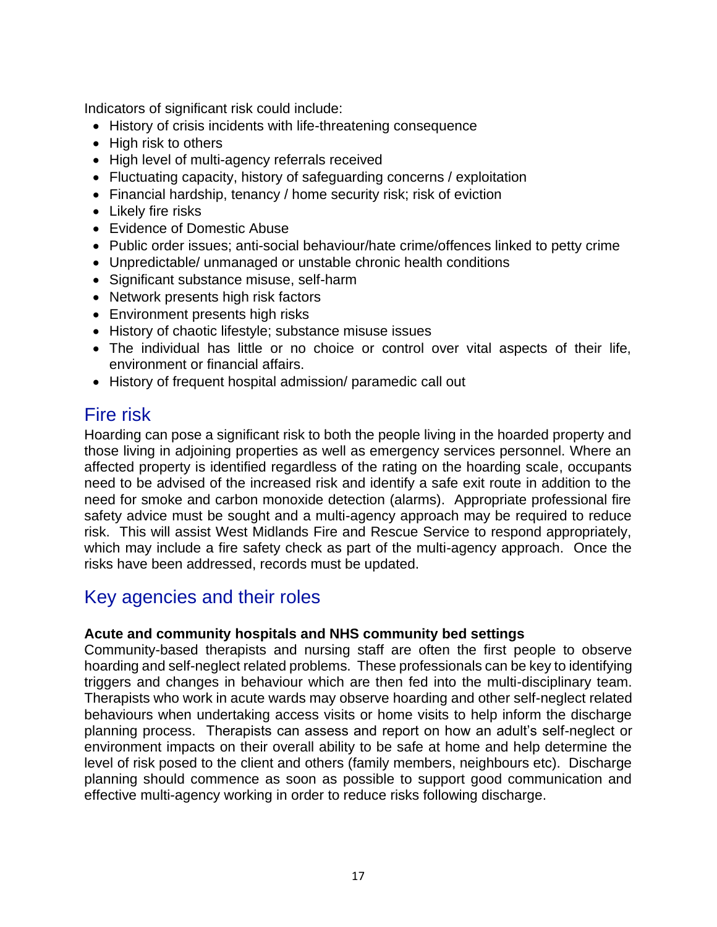Indicators of significant risk could include:

- History of crisis incidents with life-threatening consequence
- High risk to others
- High level of multi-agency referrals received
- Fluctuating capacity, history of safeguarding concerns / exploitation
- Financial hardship, tenancy / home security risk; risk of eviction
- Likely fire risks
- Evidence of Domestic Abuse
- Public order issues; anti-social behaviour/hate crime/offences linked to petty crime
- Unpredictable/ unmanaged or unstable chronic health conditions
- Significant substance misuse, self-harm
- Network presents high risk factors
- Environment presents high risks
- History of chaotic lifestyle; substance misuse issues
- The individual has little or no choice or control over vital aspects of their life, environment or financial affairs.
- History of frequent hospital admission/ paramedic call out

# <span id="page-16-0"></span>Fire risk

Hoarding can pose a significant risk to both the people living in the hoarded property and those living in adjoining properties as well as emergency services personnel. Where an affected property is identified regardless of the rating on the hoarding scale, occupants need to be advised of the increased risk and identify a safe exit route in addition to the need for smoke and carbon monoxide detection (alarms). Appropriate professional fire safety advice must be sought and a multi-agency approach may be required to reduce risk. This will assist West Midlands Fire and Rescue Service to respond appropriately, which may include a fire safety check as part of the multi-agency approach. Once the risks have been addressed, records must be updated.

# <span id="page-16-1"></span>Key agencies and their roles

#### **Acute and community hospitals and NHS community bed settings**

Community-based therapists and nursing staff are often the first people to observe hoarding and self-neglect related problems. These professionals can be key to identifying triggers and changes in behaviour which are then fed into the multi-disciplinary team. Therapists who work in acute wards may observe hoarding and other self-neglect related behaviours when undertaking access visits or home visits to help inform the discharge planning process. Therapists can assess and report on how an adult's self-neglect or environment impacts on their overall ability to be safe at home and help determine the level of risk posed to the client and others (family members, neighbours etc). Discharge planning should commence as soon as possible to support good communication and effective multi-agency working in order to reduce risks following discharge.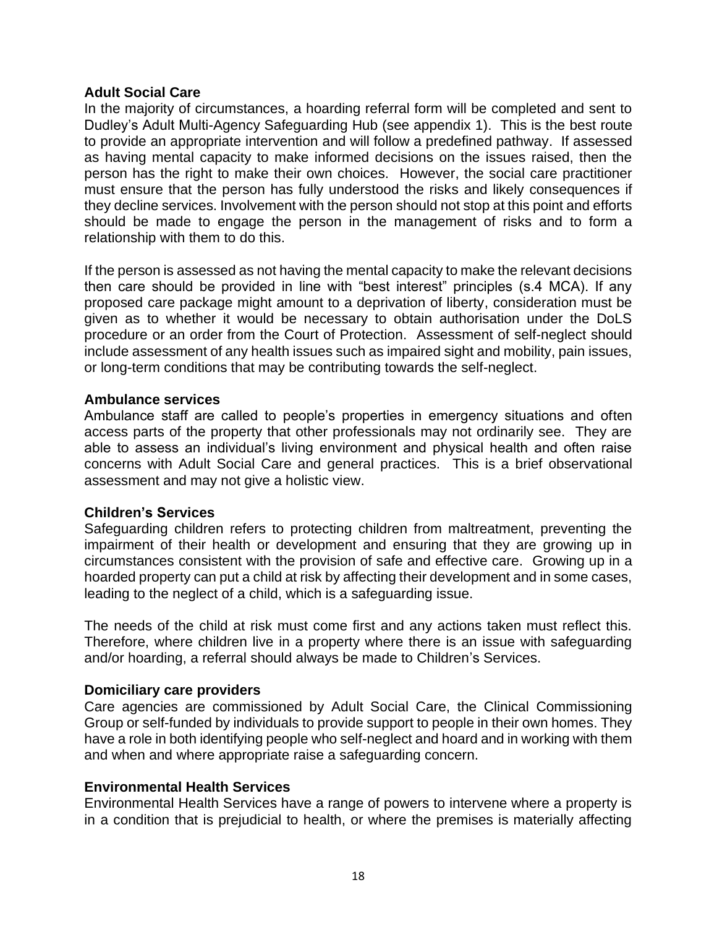#### **Adult Social Care**

In the majority of circumstances, a hoarding referral form will be completed and sent to Dudley's Adult Multi-Agency Safeguarding Hub (see appendix 1). This is the best route to provide an appropriate intervention and will follow a predefined pathway. If assessed as having mental capacity to make informed decisions on the issues raised, then the person has the right to make their own choices. However, the social care practitioner must ensure that the person has fully understood the risks and likely consequences if they decline services. Involvement with the person should not stop at this point and efforts should be made to engage the person in the management of risks and to form a relationship with them to do this.

If the person is assessed as not having the mental capacity to make the relevant decisions then care should be provided in line with "best interest" principles (s.4 MCA). If any proposed care package might amount to a deprivation of liberty, consideration must be given as to whether it would be necessary to obtain authorisation under the DoLS procedure or an order from the Court of Protection. Assessment of self-neglect should include assessment of any health issues such as impaired sight and mobility, pain issues, or long-term conditions that may be contributing towards the self-neglect.

#### **Ambulance services**

Ambulance staff are called to people's properties in emergency situations and often access parts of the property that other professionals may not ordinarily see. They are able to assess an individual's living environment and physical health and often raise concerns with Adult Social Care and general practices. This is a brief observational assessment and may not give a holistic view.

#### **Children's Services**

Safeguarding children refers to protecting children from maltreatment, preventing the impairment of their health or development and ensuring that they are growing up in circumstances consistent with the provision of safe and effective care. Growing up in a hoarded property can put a child at risk by affecting their development and in some cases, leading to the neglect of a child, which is a safeguarding issue.

The needs of the child at risk must come first and any actions taken must reflect this. Therefore, where children live in a property where there is an issue with safeguarding and/or hoarding, a referral should always be made to Children's Services.

#### **Domiciliary care providers**

Care agencies are commissioned by Adult Social Care, the Clinical Commissioning Group or self-funded by individuals to provide support to people in their own homes. They have a role in both identifying people who self-neglect and hoard and in working with them and when and where appropriate raise a safeguarding concern.

#### **Environmental Health Services**

Environmental Health Services have a range of powers to intervene where a property is in a condition that is prejudicial to health, or where the premises is materially affecting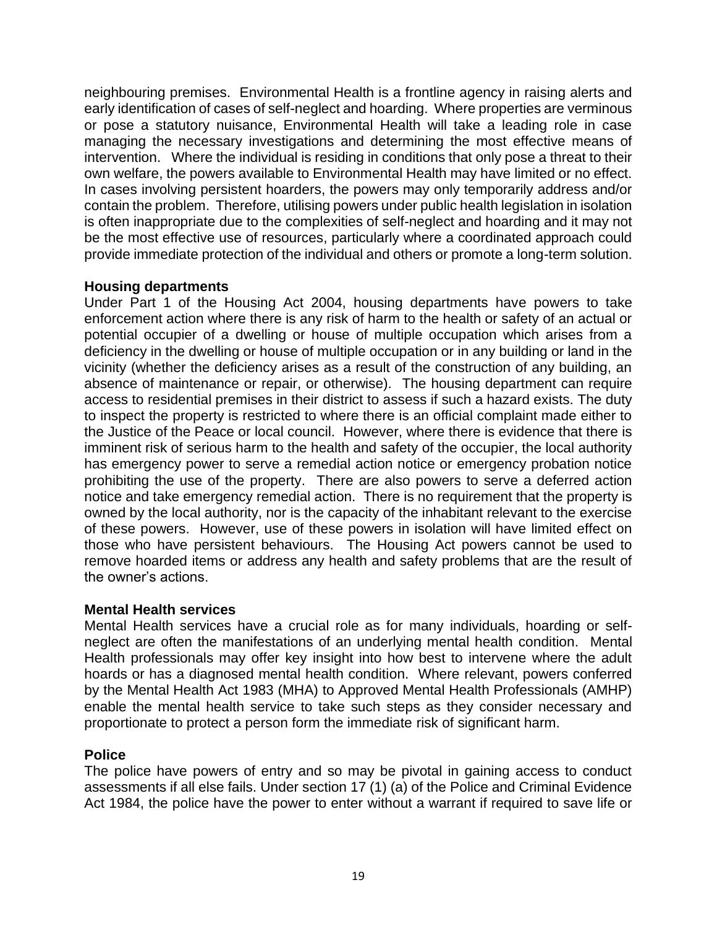neighbouring premises. Environmental Health is a frontline agency in raising alerts and early identification of cases of self-neglect and hoarding. Where properties are verminous or pose a statutory nuisance, Environmental Health will take a leading role in case managing the necessary investigations and determining the most effective means of intervention. Where the individual is residing in conditions that only pose a threat to their own welfare, the powers available to Environmental Health may have limited or no effect. In cases involving persistent hoarders, the powers may only temporarily address and/or contain the problem. Therefore, utilising powers under public health legislation in isolation is often inappropriate due to the complexities of self-neglect and hoarding and it may not be the most effective use of resources, particularly where a coordinated approach could provide immediate protection of the individual and others or promote a long-term solution.

#### **Housing departments**

Under Part 1 of the Housing Act 2004, housing departments have powers to take enforcement action where there is any risk of harm to the health or safety of an actual or potential occupier of a dwelling or house of multiple occupation which arises from a deficiency in the dwelling or house of multiple occupation or in any building or land in the vicinity (whether the deficiency arises as a result of the construction of any building, an absence of maintenance or repair, or otherwise). The housing department can require access to residential premises in their district to assess if such a hazard exists. The duty to inspect the property is restricted to where there is an official complaint made either to the Justice of the Peace or local council. However, where there is evidence that there is imminent risk of serious harm to the health and safety of the occupier, the local authority has emergency power to serve a remedial action notice or emergency probation notice prohibiting the use of the property. There are also powers to serve a deferred action notice and take emergency remedial action. There is no requirement that the property is owned by the local authority, nor is the capacity of the inhabitant relevant to the exercise of these powers. However, use of these powers in isolation will have limited effect on those who have persistent behaviours. The Housing Act powers cannot be used to remove hoarded items or address any health and safety problems that are the result of the owner's actions.

#### **Mental Health services**

Mental Health services have a crucial role as for many individuals, hoarding or selfneglect are often the manifestations of an underlying mental health condition. Mental Health professionals may offer key insight into how best to intervene where the adult hoards or has a diagnosed mental health condition. Where relevant, powers conferred by the Mental Health Act 1983 (MHA) to Approved Mental Health Professionals (AMHP) enable the mental health service to take such steps as they consider necessary and proportionate to protect a person form the immediate risk of significant harm.

#### **Police**

The police have powers of entry and so may be pivotal in gaining access to conduct assessments if all else fails. Under section 17 (1) (a) of the Police and Criminal Evidence Act 1984, the police have the power to enter without a warrant if required to save life or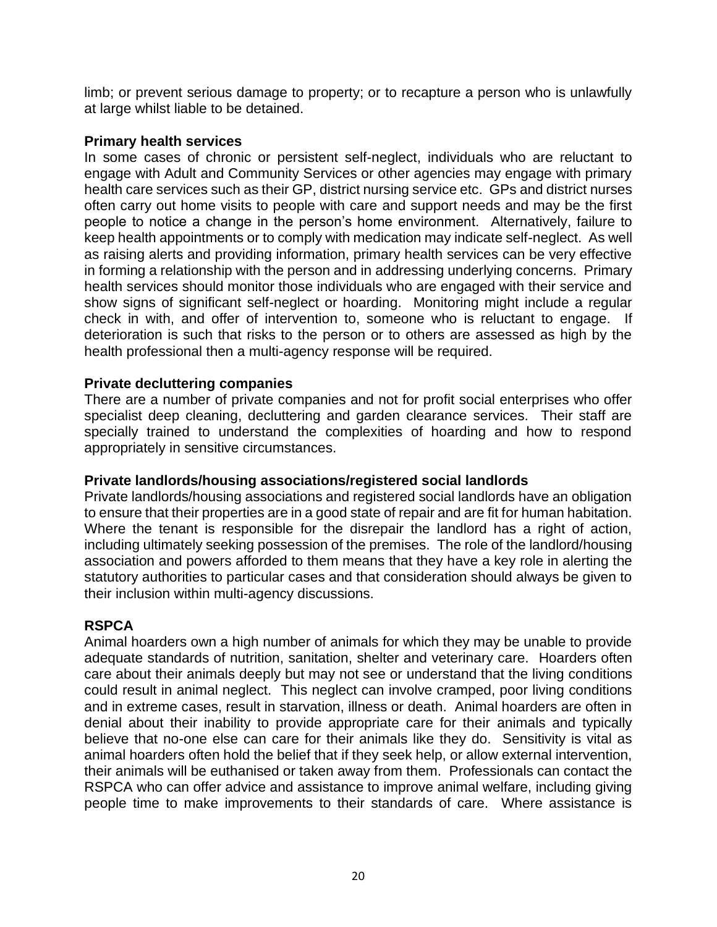limb; or prevent serious damage to property; or to recapture a person who is unlawfully at large whilst liable to be detained.

#### **Primary health services**

In some cases of chronic or persistent self-neglect, individuals who are reluctant to engage with Adult and Community Services or other agencies may engage with primary health care services such as their GP, district nursing service etc. GPs and district nurses often carry out home visits to people with care and support needs and may be the first people to notice a change in the person's home environment. Alternatively, failure to keep health appointments or to comply with medication may indicate self-neglect. As well as raising alerts and providing information, primary health services can be very effective in forming a relationship with the person and in addressing underlying concerns. Primary health services should monitor those individuals who are engaged with their service and show signs of significant self-neglect or hoarding. Monitoring might include a regular check in with, and offer of intervention to, someone who is reluctant to engage. If deterioration is such that risks to the person or to others are assessed as high by the health professional then a multi-agency response will be required.

#### **Private decluttering companies**

There are a number of private companies and not for profit social enterprises who offer specialist deep cleaning, decluttering and garden clearance services. Their staff are specially trained to understand the complexities of hoarding and how to respond appropriately in sensitive circumstances.

#### **Private landlords/housing associations/registered social landlords**

Private landlords/housing associations and registered social landlords have an obligation to ensure that their properties are in a good state of repair and are fit for human habitation. Where the tenant is responsible for the disrepair the landlord has a right of action, including ultimately seeking possession of the premises. The role of the landlord/housing association and powers afforded to them means that they have a key role in alerting the statutory authorities to particular cases and that consideration should always be given to their inclusion within multi-agency discussions.

#### **RSPCA**

Animal hoarders own a high number of animals for which they may be unable to provide adequate standards of nutrition, sanitation, shelter and veterinary care. Hoarders often care about their animals deeply but may not see or understand that the living conditions could result in animal neglect. This neglect can involve cramped, poor living conditions and in extreme cases, result in starvation, illness or death. Animal hoarders are often in denial about their inability to provide appropriate care for their animals and typically believe that no-one else can care for their animals like they do. Sensitivity is vital as animal hoarders often hold the belief that if they seek help, or allow external intervention, their animals will be euthanised or taken away from them. Professionals can contact the RSPCA who can offer advice and assistance to improve animal welfare, including giving people time to make improvements to their standards of care. Where assistance is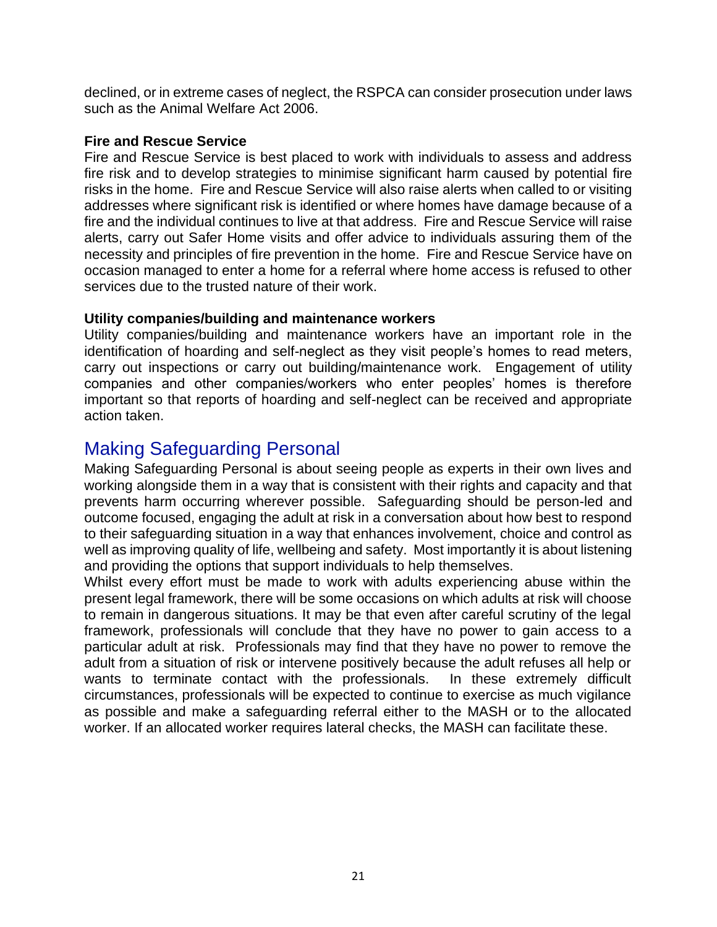declined, or in extreme cases of neglect, the RSPCA can consider prosecution under laws such as the Animal Welfare Act 2006.

#### **Fire and Rescue Service**

Fire and Rescue Service is best placed to work with individuals to assess and address fire risk and to develop strategies to minimise significant harm caused by potential fire risks in the home. Fire and Rescue Service will also raise alerts when called to or visiting addresses where significant risk is identified or where homes have damage because of a fire and the individual continues to live at that address. Fire and Rescue Service will raise alerts, carry out Safer Home visits and offer advice to individuals assuring them of the necessity and principles of fire prevention in the home. Fire and Rescue Service have on occasion managed to enter a home for a referral where home access is refused to other services due to the trusted nature of their work.

#### **Utility companies/building and maintenance workers**

Utility companies/building and maintenance workers have an important role in the identification of hoarding and self-neglect as they visit people's homes to read meters, carry out inspections or carry out building/maintenance work. Engagement of utility companies and other companies/workers who enter peoples' homes is therefore important so that reports of hoarding and self-neglect can be received and appropriate action taken.

### <span id="page-20-0"></span>Making Safeguarding Personal

Making Safeguarding Personal is about seeing people as experts in their own lives and working alongside them in a way that is consistent with their rights and capacity and that prevents harm occurring wherever possible. Safeguarding should be person-led and outcome focused, engaging the adult at risk in a conversation about how best to respond to their safeguarding situation in a way that enhances involvement, choice and control as well as improving quality of life, wellbeing and safety. Most importantly it is about listening and providing the options that support individuals to help themselves.

Whilst every effort must be made to work with adults experiencing abuse within the present legal framework, there will be some occasions on which adults at risk will choose to remain in dangerous situations. It may be that even after careful scrutiny of the legal framework, professionals will conclude that they have no power to gain access to a particular adult at risk. Professionals may find that they have no power to remove the adult from a situation of risk or intervene positively because the adult refuses all help or wants to terminate contact with the professionals. In these extremely difficult circumstances, professionals will be expected to continue to exercise as much vigilance as possible and make a safeguarding referral either to the MASH or to the allocated worker. If an allocated worker requires lateral checks, the MASH can facilitate these.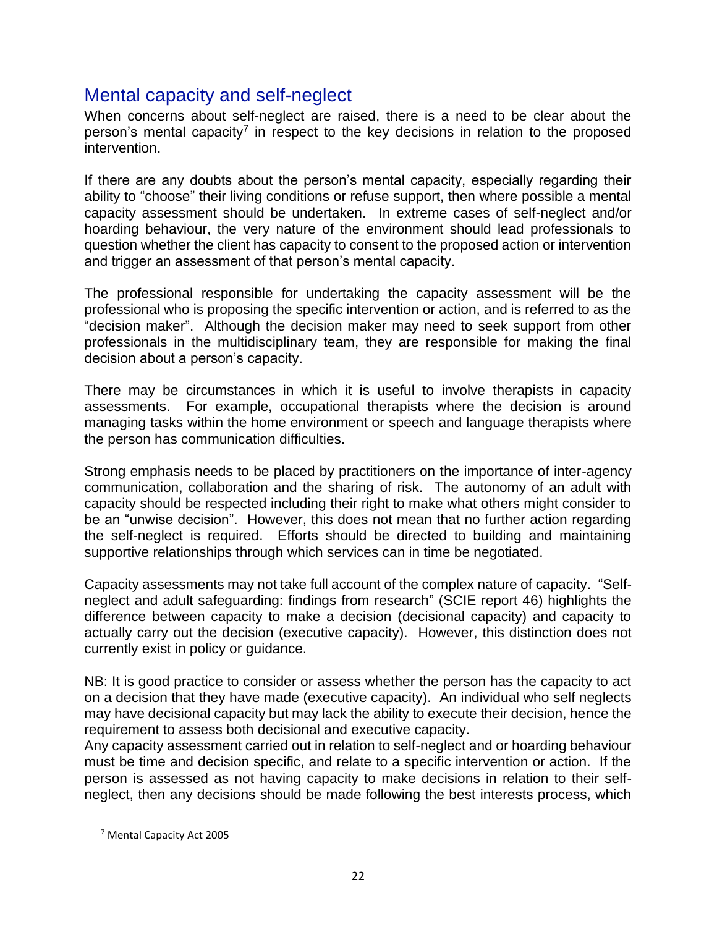# <span id="page-21-0"></span>Mental capacity and self-neglect

When concerns about self-neglect are raised, there is a need to be clear about the person's mental capacity<sup>7</sup> in respect to the key decisions in relation to the proposed intervention.

If there are any doubts about the person's mental capacity, especially regarding their ability to "choose" their living conditions or refuse support, then where possible a mental capacity assessment should be undertaken. In extreme cases of self-neglect and/or hoarding behaviour, the very nature of the environment should lead professionals to question whether the client has capacity to consent to the proposed action or intervention and trigger an assessment of that person's mental capacity.

The professional responsible for undertaking the capacity assessment will be the professional who is proposing the specific intervention or action, and is referred to as the "decision maker". Although the decision maker may need to seek support from other professionals in the multidisciplinary team, they are responsible for making the final decision about a person's capacity.

There may be circumstances in which it is useful to involve therapists in capacity assessments. For example, occupational therapists where the decision is around managing tasks within the home environment or speech and language therapists where the person has communication difficulties.

Strong emphasis needs to be placed by practitioners on the importance of inter-agency communication, collaboration and the sharing of risk. The autonomy of an adult with capacity should be respected including their right to make what others might consider to be an "unwise decision". However, this does not mean that no further action regarding the self-neglect is required. Efforts should be directed to building and maintaining supportive relationships through which services can in time be negotiated.

Capacity assessments may not take full account of the complex nature of capacity. "Selfneglect and adult safeguarding: findings from research" (SCIE report 46) highlights the difference between capacity to make a decision (decisional capacity) and capacity to actually carry out the decision (executive capacity). However, this distinction does not currently exist in policy or guidance.

NB: It is good practice to consider or assess whether the person has the capacity to act on a decision that they have made (executive capacity). An individual who self neglects may have decisional capacity but may lack the ability to execute their decision, hence the requirement to assess both decisional and executive capacity.

Any capacity assessment carried out in relation to self-neglect and or hoarding behaviour must be time and decision specific, and relate to a specific intervention or action. If the person is assessed as not having capacity to make decisions in relation to their selfneglect, then any decisions should be made following the best interests process, which

<sup>7</sup> Mental Capacity Act 2005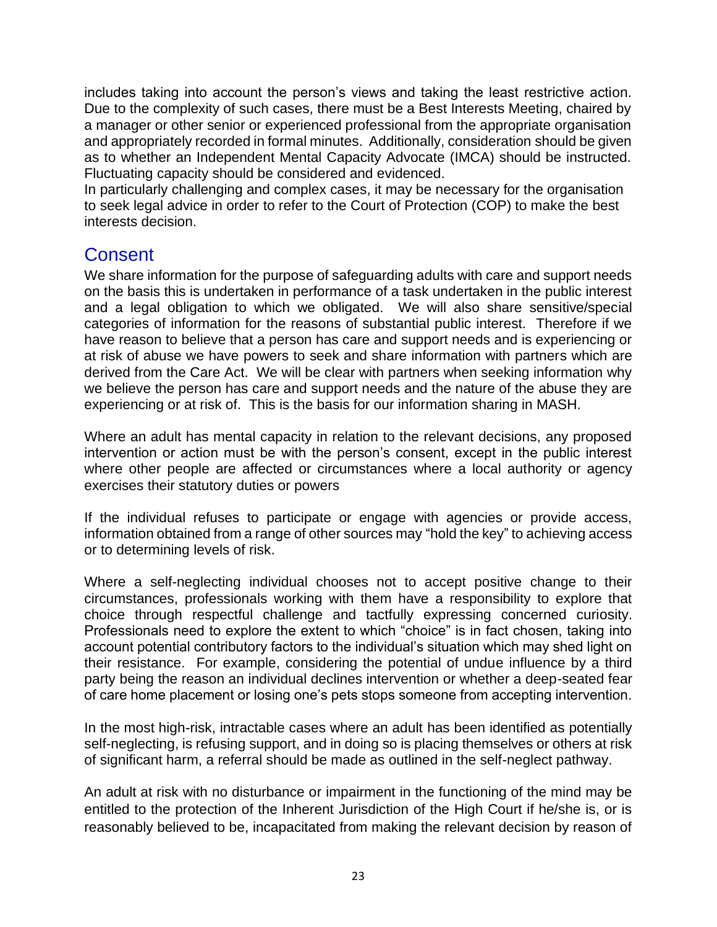includes taking into account the person's views and taking the least restrictive action. Due to the complexity of such cases, there must be a Best Interests Meeting, chaired by a manager or other senior or experienced professional from the appropriate organisation and appropriately recorded in formal minutes. Additionally, consideration should be given as to whether an Independent Mental Capacity Advocate (IMCA) should be instructed. Fluctuating capacity should be considered and evidenced.

In particularly challenging and complex cases, it may be necessary for the organisation to seek legal advice in order to refer to the Court of Protection (COP) to make the best interests decision.

### <span id="page-22-0"></span>**Consent**

We share information for the purpose of safeguarding adults with care and support needs on the basis this is undertaken in performance of a task undertaken in the public interest and a legal obligation to which we obligated. We will also share sensitive/special categories of information for the reasons of substantial public interest. Therefore if we have reason to believe that a person has care and support needs and is experiencing or at risk of abuse we have powers to seek and share information with partners which are derived from the Care Act. We will be clear with partners when seeking information why we believe the person has care and support needs and the nature of the abuse they are experiencing or at risk of. This is the basis for our information sharing in MASH.

Where an adult has mental capacity in relation to the relevant decisions, any proposed intervention or action must be with the person's consent, except in the public interest where other people are affected or circumstances where a local authority or agency exercises their statutory duties or powers

If the individual refuses to participate or engage with agencies or provide access, information obtained from a range of other sources may "hold the key" to achieving access or to determining levels of risk.

Where a self-neglecting individual chooses not to accept positive change to their circumstances, professionals working with them have a responsibility to explore that choice through respectful challenge and tactfully expressing concerned curiosity. Professionals need to explore the extent to which "choice" is in fact chosen, taking into account potential contributory factors to the individual's situation which may shed light on their resistance. For example, considering the potential of undue influence by a third party being the reason an individual declines intervention or whether a deep-seated fear of care home placement or losing one's pets stops someone from accepting intervention.

In the most high-risk, intractable cases where an adult has been identified as potentially self-neglecting, is refusing support, and in doing so is placing themselves or others at risk of significant harm, a referral should be made as outlined in the self-neglect pathway.

An adult at risk with no disturbance or impairment in the functioning of the mind may be entitled to the protection of the Inherent Jurisdiction of the High Court if he/she is, or is reasonably believed to be, incapacitated from making the relevant decision by reason of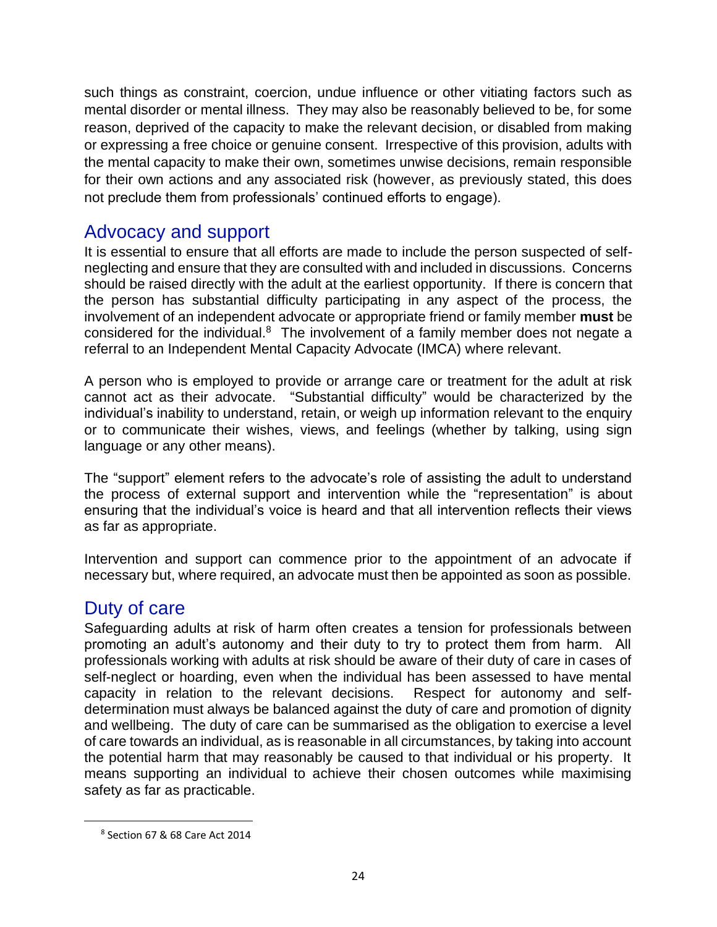such things as constraint, coercion, undue influence or other vitiating factors such as mental disorder or mental illness. They may also be reasonably believed to be, for some reason, deprived of the capacity to make the relevant decision, or disabled from making or expressing a free choice or genuine consent. Irrespective of this provision, adults with the mental capacity to make their own, sometimes unwise decisions, remain responsible for their own actions and any associated risk (however, as previously stated, this does not preclude them from professionals' continued efforts to engage).

### <span id="page-23-0"></span>Advocacy and support

It is essential to ensure that all efforts are made to include the person suspected of selfneglecting and ensure that they are consulted with and included in discussions. Concerns should be raised directly with the adult at the earliest opportunity. If there is concern that the person has substantial difficulty participating in any aspect of the process, the involvement of an independent advocate or appropriate friend or family member **must** be considered for the individual.<sup>8</sup> The involvement of a family member does not negate a referral to an Independent Mental Capacity Advocate (IMCA) where relevant.

A person who is employed to provide or arrange care or treatment for the adult at risk cannot act as their advocate. "Substantial difficulty" would be characterized by the individual's inability to understand, retain, or weigh up information relevant to the enquiry or to communicate their wishes, views, and feelings (whether by talking, using sign language or any other means).

The "support" element refers to the advocate's role of assisting the adult to understand the process of external support and intervention while the "representation" is about ensuring that the individual's voice is heard and that all intervention reflects their views as far as appropriate.

Intervention and support can commence prior to the appointment of an advocate if necessary but, where required, an advocate must then be appointed as soon as possible.

# <span id="page-23-1"></span>Duty of care

Safeguarding adults at risk of harm often creates a tension for professionals between promoting an adult's autonomy and their duty to try to protect them from harm. All professionals working with adults at risk should be aware of their duty of care in cases of self-neglect or hoarding, even when the individual has been assessed to have mental capacity in relation to the relevant decisions. Respect for autonomy and selfdetermination must always be balanced against the duty of care and promotion of dignity and wellbeing. The duty of care can be summarised as the obligation to exercise a level of care towards an individual, as is reasonable in all circumstances, by taking into account the potential harm that may reasonably be caused to that individual or his property. It means supporting an individual to achieve their chosen outcomes while maximising safety as far as practicable.

<sup>8</sup> Section 67 & 68 Care Act 2014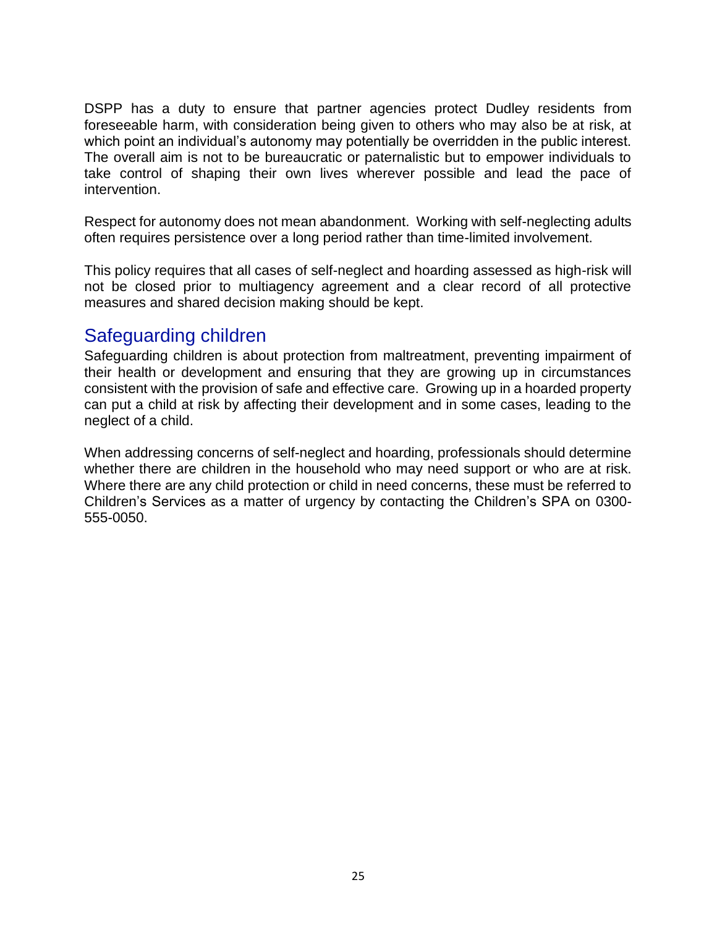DSPP has a duty to ensure that partner agencies protect Dudley residents from foreseeable harm, with consideration being given to others who may also be at risk, at which point an individual's autonomy may potentially be overridden in the public interest. The overall aim is not to be bureaucratic or paternalistic but to empower individuals to take control of shaping their own lives wherever possible and lead the pace of intervention.

Respect for autonomy does not mean abandonment. Working with self-neglecting adults often requires persistence over a long period rather than time-limited involvement.

This policy requires that all cases of self-neglect and hoarding assessed as high-risk will not be closed prior to multiagency agreement and a clear record of all protective measures and shared decision making should be kept.

### <span id="page-24-0"></span>Safeguarding children

Safeguarding children is about protection from maltreatment, preventing impairment of their health or development and ensuring that they are growing up in circumstances consistent with the provision of safe and effective care. Growing up in a hoarded property can put a child at risk by affecting their development and in some cases, leading to the neglect of a child.

When addressing concerns of self-neglect and hoarding, professionals should determine whether there are children in the household who may need support or who are at risk. Where there are any child protection or child in need concerns, these must be referred to Children's Services as a matter of urgency by contacting the Children's SPA on 0300- 555-0050.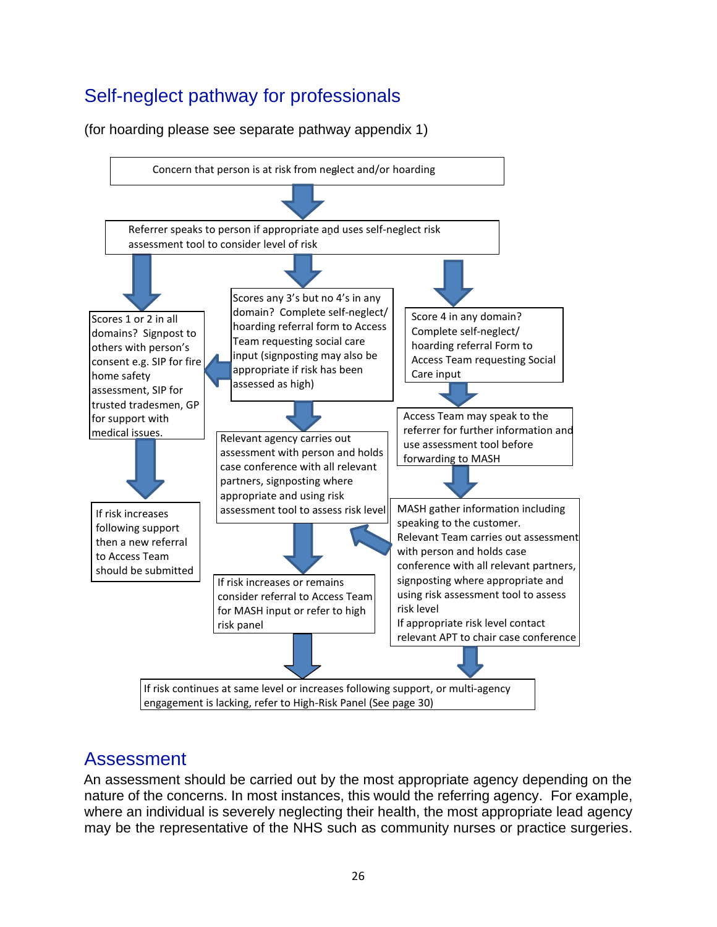# <span id="page-25-0"></span>Self-neglect pathway for professionals

(for hoarding please see separate pathway appendix 1)



# <span id="page-25-1"></span>Assessment

An assessment should be carried out by the most appropriate agency depending on the nature of the concerns. In most instances, this would the referring agency. For example, where an individual is severely neglecting their health, the most appropriate lead agency may be the representative of the NHS such as community nurses or practice surgeries.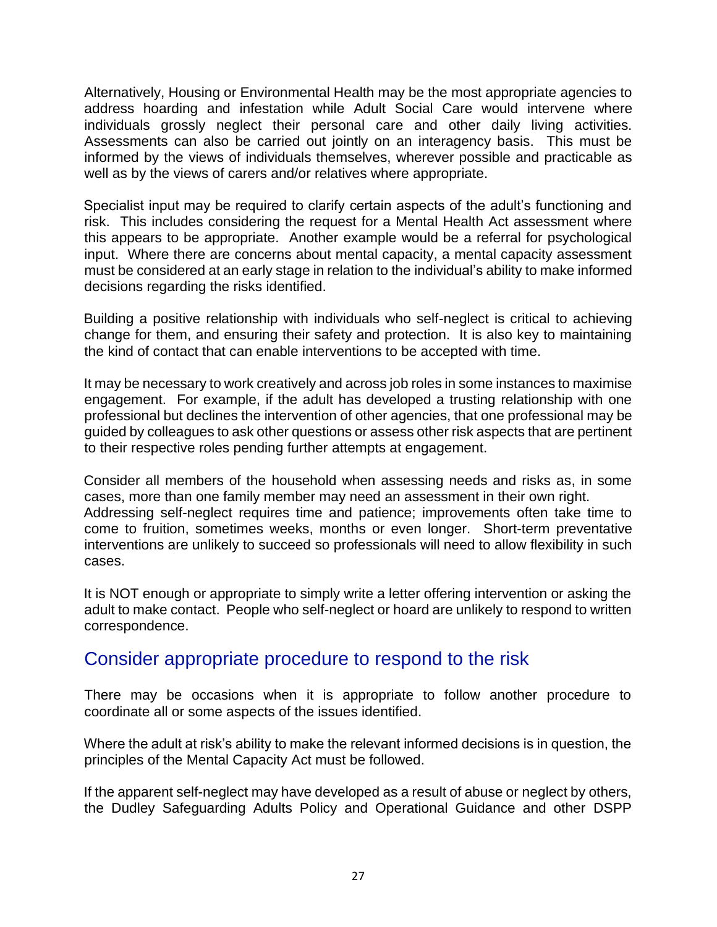Alternatively, Housing or Environmental Health may be the most appropriate agencies to address hoarding and infestation while Adult Social Care would intervene where individuals grossly neglect their personal care and other daily living activities. Assessments can also be carried out jointly on an interagency basis. This must be informed by the views of individuals themselves, wherever possible and practicable as well as by the views of carers and/or relatives where appropriate.

Specialist input may be required to clarify certain aspects of the adult's functioning and risk. This includes considering the request for a Mental Health Act assessment where this appears to be appropriate. Another example would be a referral for psychological input. Where there are concerns about mental capacity, a mental capacity assessment must be considered at an early stage in relation to the individual's ability to make informed decisions regarding the risks identified.

Building a positive relationship with individuals who self-neglect is critical to achieving change for them, and ensuring their safety and protection. It is also key to maintaining the kind of contact that can enable interventions to be accepted with time.

It may be necessary to work creatively and across job roles in some instances to maximise engagement. For example, if the adult has developed a trusting relationship with one professional but declines the intervention of other agencies, that one professional may be guided by colleagues to ask other questions or assess other risk aspects that are pertinent to their respective roles pending further attempts at engagement.

Consider all members of the household when assessing needs and risks as, in some cases, more than one family member may need an assessment in their own right. Addressing self-neglect requires time and patience; improvements often take time to come to fruition, sometimes weeks, months or even longer. Short-term preventative interventions are unlikely to succeed so professionals will need to allow flexibility in such cases.

It is NOT enough or appropriate to simply write a letter offering intervention or asking the adult to make contact. People who self-neglect or hoard are unlikely to respond to written correspondence.

### <span id="page-26-0"></span>Consider appropriate procedure to respond to the risk

There may be occasions when it is appropriate to follow another procedure to coordinate all or some aspects of the issues identified.

Where the adult at risk's ability to make the relevant informed decisions is in question, the principles of the Mental Capacity Act must be followed.

If the apparent self-neglect may have developed as a result of abuse or neglect by others, the Dudley Safeguarding Adults Policy and Operational Guidance and other DSPP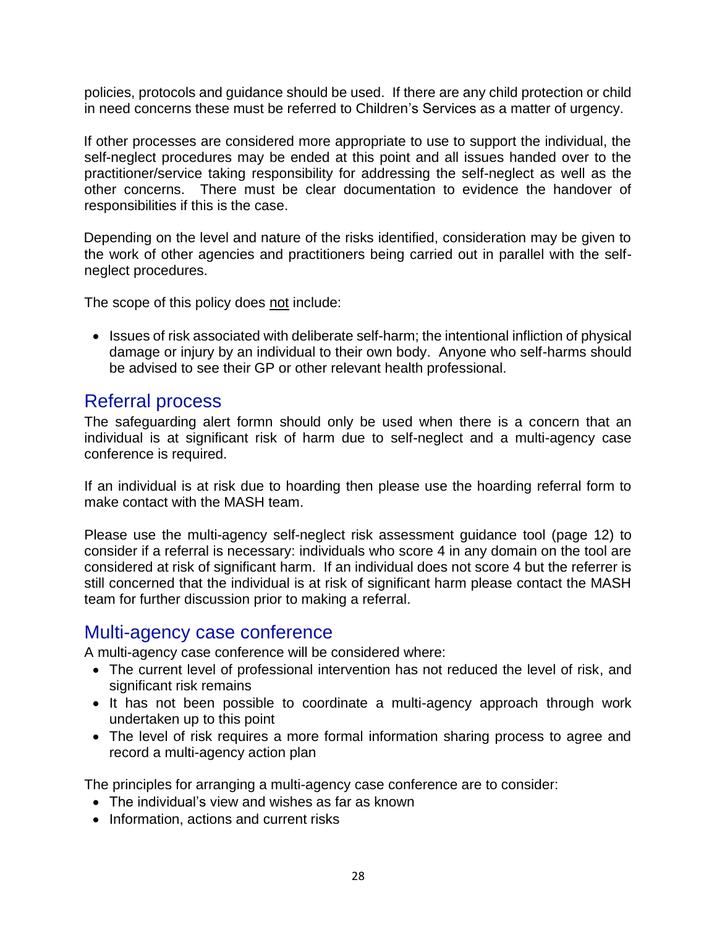policies, protocols and guidance should be used. If there are any child protection or child in need concerns these must be referred to Children's Services as a matter of urgency.

If other processes are considered more appropriate to use to support the individual, the self-neglect procedures may be ended at this point and all issues handed over to the practitioner/service taking responsibility for addressing the self-neglect as well as the other concerns. There must be clear documentation to evidence the handover of responsibilities if this is the case.

Depending on the level and nature of the risks identified, consideration may be given to the work of other agencies and practitioners being carried out in parallel with the selfneglect procedures.

The scope of this policy does not include:

• Issues of risk associated with deliberate self-harm; the intentional infliction of physical damage or injury by an individual to their own body. Anyone who self-harms should be advised to see their GP or other relevant health professional.

### <span id="page-27-0"></span>Referral process

The safeguarding alert formn should only be used when there is a concern that an individual is at significant risk of harm due to self-neglect and a multi-agency case conference is required.

If an individual is at risk due to hoarding then please use the hoarding referral form to make contact with the MASH team.

Please use the multi-agency self-neglect risk assessment guidance tool (page 12) to consider if a referral is necessary: individuals who score 4 in any domain on the tool are considered at risk of significant harm. If an individual does not score 4 but the referrer is still concerned that the individual is at risk of significant harm please contact the MASH team for further discussion prior to making a referral.

### <span id="page-27-1"></span>Multi-agency case conference

A multi-agency case conference will be considered where:

- The current level of professional intervention has not reduced the level of risk, and significant risk remains
- It has not been possible to coordinate a multi-agency approach through work undertaken up to this point
- The level of risk requires a more formal information sharing process to agree and record a multi-agency action plan

The principles for arranging a multi-agency case conference are to consider:

- The individual's view and wishes as far as known
- Information, actions and current risks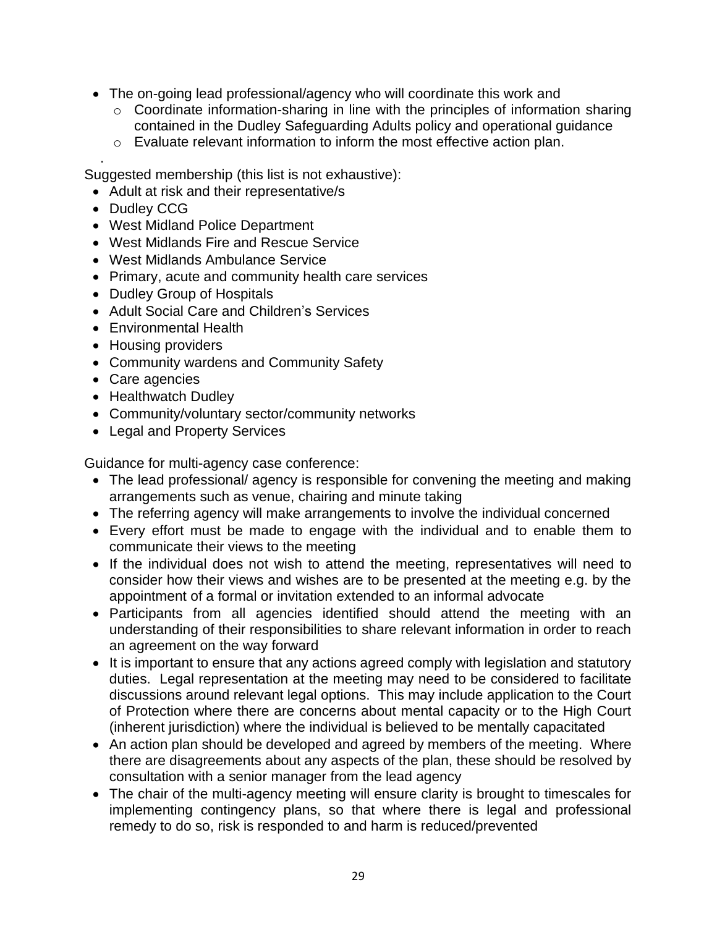- The on-going lead professional/agency who will coordinate this work and
	- o Coordinate information-sharing in line with the principles of information sharing contained in the Dudley Safeguarding Adults policy and operational guidance
	- o Evaluate relevant information to inform the most effective action plan.

. Suggested membership (this list is not exhaustive):

- Adult at risk and their representative/s
- Dudley CCG
- West Midland Police Department
- West Midlands Fire and Rescue Service
- West Midlands Ambulance Service
- Primary, acute and community health care services
- Dudley Group of Hospitals
- Adult Social Care and Children's Services
- Environmental Health
- Housing providers
- Community wardens and Community Safety
- Care agencies
- Healthwatch Dudley
- Community/voluntary sector/community networks
- Legal and Property Services

Guidance for multi-agency case conference:

- The lead professional/ agency is responsible for convening the meeting and making arrangements such as venue, chairing and minute taking
- The referring agency will make arrangements to involve the individual concerned
- Every effort must be made to engage with the individual and to enable them to communicate their views to the meeting
- If the individual does not wish to attend the meeting, representatives will need to consider how their views and wishes are to be presented at the meeting e.g. by the appointment of a formal or invitation extended to an informal advocate
- Participants from all agencies identified should attend the meeting with an understanding of their responsibilities to share relevant information in order to reach an agreement on the way forward
- It is important to ensure that any actions agreed comply with legislation and statutory duties. Legal representation at the meeting may need to be considered to facilitate discussions around relevant legal options. This may include application to the Court of Protection where there are concerns about mental capacity or to the High Court (inherent jurisdiction) where the individual is believed to be mentally capacitated
- An action plan should be developed and agreed by members of the meeting. Where there are disagreements about any aspects of the plan, these should be resolved by consultation with a senior manager from the lead agency
- The chair of the multi-agency meeting will ensure clarity is brought to timescales for implementing contingency plans, so that where there is legal and professional remedy to do so, risk is responded to and harm is reduced/prevented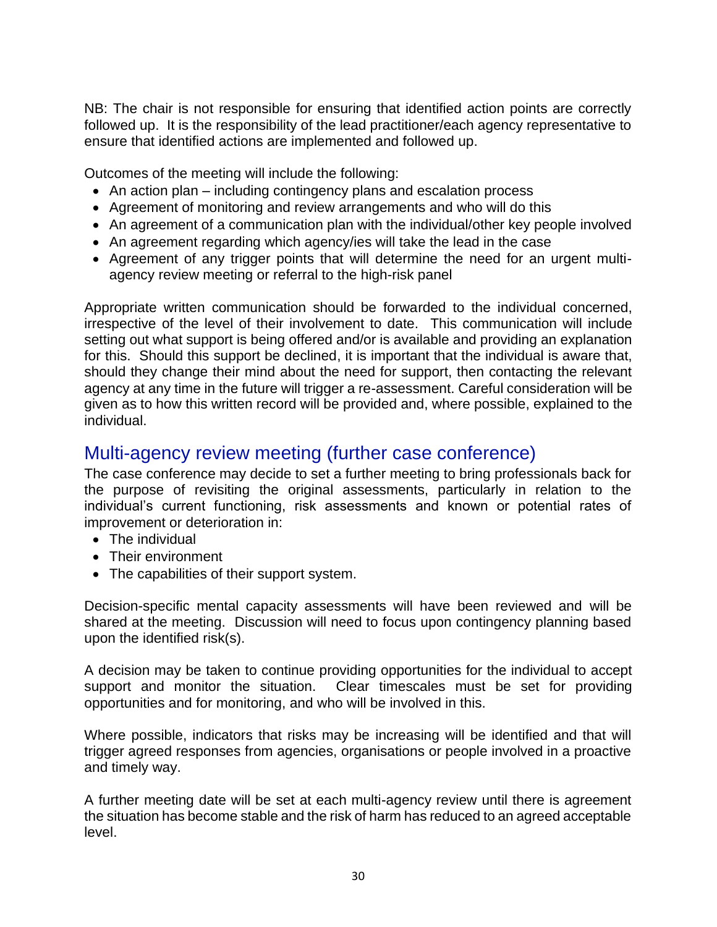NB: The chair is not responsible for ensuring that identified action points are correctly followed up. It is the responsibility of the lead practitioner/each agency representative to ensure that identified actions are implemented and followed up.

Outcomes of the meeting will include the following:

- An action plan including contingency plans and escalation process
- Agreement of monitoring and review arrangements and who will do this
- An agreement of a communication plan with the individual/other key people involved
- An agreement regarding which agency/ies will take the lead in the case
- Agreement of any trigger points that will determine the need for an urgent multiagency review meeting or referral to the high-risk panel

Appropriate written communication should be forwarded to the individual concerned, irrespective of the level of their involvement to date. This communication will include setting out what support is being offered and/or is available and providing an explanation for this. Should this support be declined, it is important that the individual is aware that, should they change their mind about the need for support, then contacting the relevant agency at any time in the future will trigger a re-assessment. Careful consideration will be given as to how this written record will be provided and, where possible, explained to the individual.

### <span id="page-29-0"></span>Multi-agency review meeting (further case conference)

The case conference may decide to set a further meeting to bring professionals back for the purpose of revisiting the original assessments, particularly in relation to the individual's current functioning, risk assessments and known or potential rates of improvement or deterioration in:

- The individual
- Their environment
- The capabilities of their support system.

Decision-specific mental capacity assessments will have been reviewed and will be shared at the meeting. Discussion will need to focus upon contingency planning based upon the identified risk(s).

A decision may be taken to continue providing opportunities for the individual to accept support and monitor the situation. Clear timescales must be set for providing opportunities and for monitoring, and who will be involved in this.

Where possible, indicators that risks may be increasing will be identified and that will trigger agreed responses from agencies, organisations or people involved in a proactive and timely way.

A further meeting date will be set at each multi-agency review until there is agreement the situation has become stable and the risk of harm has reduced to an agreed acceptable level.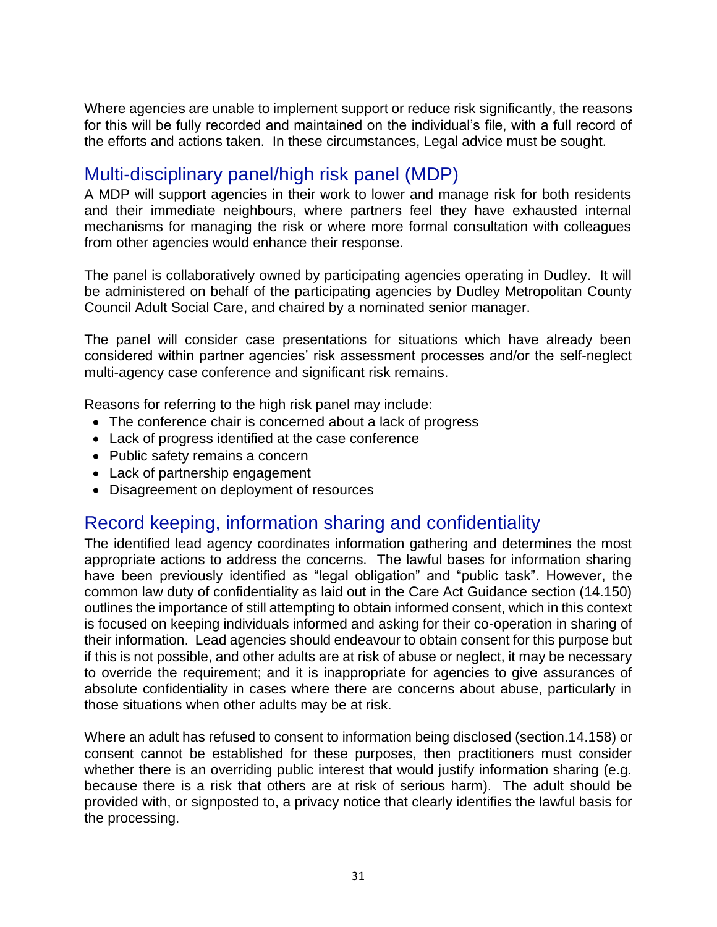Where agencies are unable to implement support or reduce risk significantly, the reasons for this will be fully recorded and maintained on the individual's file, with a full record of the efforts and actions taken. In these circumstances, Legal advice must be sought.

# <span id="page-30-0"></span>Multi-disciplinary panel/high risk panel (MDP)

A MDP will support agencies in their work to lower and manage risk for both residents and their immediate neighbours, where partners feel they have exhausted internal mechanisms for managing the risk or where more formal consultation with colleagues from other agencies would enhance their response.

The panel is collaboratively owned by participating agencies operating in Dudley. It will be administered on behalf of the participating agencies by Dudley Metropolitan County Council Adult Social Care, and chaired by a nominated senior manager.

The panel will consider case presentations for situations which have already been considered within partner agencies' risk assessment processes and/or the self-neglect multi-agency case conference and significant risk remains.

Reasons for referring to the high risk panel may include:

- The conference chair is concerned about a lack of progress
- Lack of progress identified at the case conference
- Public safety remains a concern
- Lack of partnership engagement
- Disagreement on deployment of resources

# <span id="page-30-1"></span>Record keeping, information sharing and confidentiality

The identified lead agency coordinates information gathering and determines the most appropriate actions to address the concerns. The lawful bases for information sharing have been previously identified as "legal obligation" and "public task". However, the common law duty of confidentiality as laid out in the Care Act Guidance section (14.150) outlines the importance of still attempting to obtain informed consent, which in this context is focused on keeping individuals informed and asking for their co-operation in sharing of their information. Lead agencies should endeavour to obtain consent for this purpose but if this is not possible, and other adults are at risk of abuse or neglect, it may be necessary to override the requirement; and it is inappropriate for agencies to give assurances of absolute confidentiality in cases where there are concerns about abuse, particularly in those situations when other adults may be at risk.

Where an adult has refused to consent to information being disclosed (section.14.158) or consent cannot be established for these purposes, then practitioners must consider whether there is an overriding public interest that would justify information sharing (e.g. because there is a risk that others are at risk of serious harm). The adult should be provided with, or signposted to, a privacy notice that clearly identifies the lawful basis for the processing.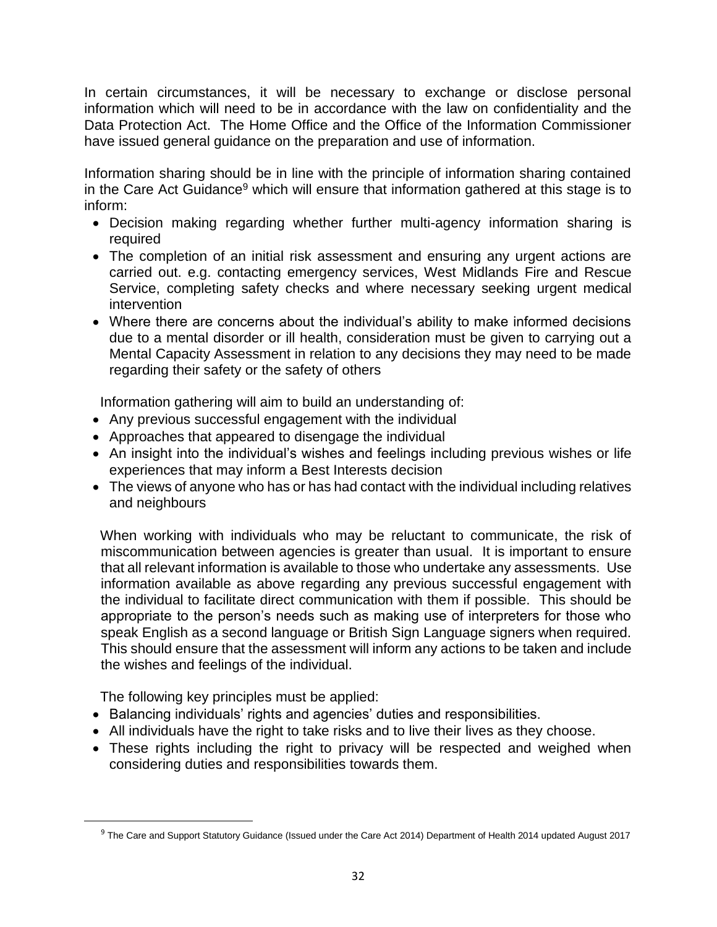In certain circumstances, it will be necessary to exchange or disclose personal information which will need to be in accordance with the law on confidentiality and the Data Protection Act. The Home Office and the Office of the Information Commissioner have issued general guidance on the preparation and use of information.

Information sharing should be in line with the principle of information sharing contained in the Care Act Guidance<sup>9</sup> which will ensure that information gathered at this stage is to inform:

- Decision making regarding whether further multi-agency information sharing is required
- The completion of an initial risk assessment and ensuring any urgent actions are carried out. e.g. contacting emergency services, West Midlands Fire and Rescue Service, completing safety checks and where necessary seeking urgent medical intervention
- Where there are concerns about the individual's ability to make informed decisions due to a mental disorder or ill health, consideration must be given to carrying out a Mental Capacity Assessment in relation to any decisions they may need to be made regarding their safety or the safety of others

Information gathering will aim to build an understanding of:

- Any previous successful engagement with the individual
- Approaches that appeared to disengage the individual
- An insight into the individual's wishes and feelings including previous wishes or life experiences that may inform a Best Interests decision
- The views of anyone who has or has had contact with the individual including relatives and neighbours

When working with individuals who may be reluctant to communicate, the risk of miscommunication between agencies is greater than usual. It is important to ensure that all relevant information is available to those who undertake any assessments. Use information available as above regarding any previous successful engagement with the individual to facilitate direct communication with them if possible. This should be appropriate to the person's needs such as making use of interpreters for those who speak English as a second language or British Sign Language signers when required. This should ensure that the assessment will inform any actions to be taken and include the wishes and feelings of the individual.

The following key principles must be applied:

- Balancing individuals' rights and agencies' duties and responsibilities.
- All individuals have the right to take risks and to live their lives as they choose.
- These rights including the right to privacy will be respected and weighed when considering duties and responsibilities towards them.

<sup>9</sup> The Care and Support Statutory Guidance (Issued under the Care Act 2014) Department of Health 2014 updated August 2017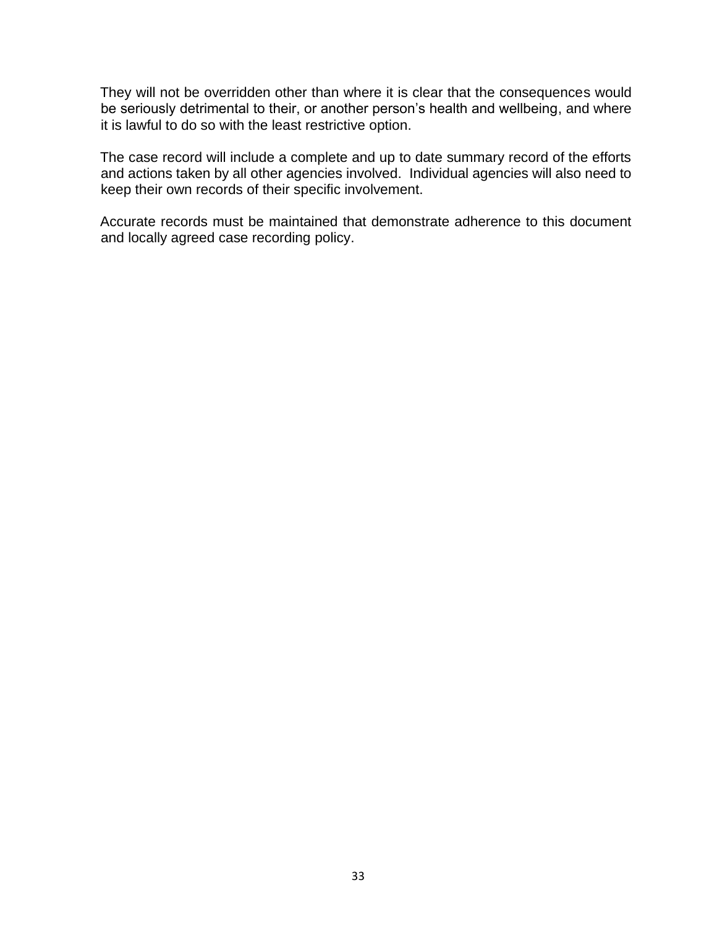They will not be overridden other than where it is clear that the consequences would be seriously detrimental to their, or another person's health and wellbeing, and where it is lawful to do so with the least restrictive option.

The case record will include a complete and up to date summary record of the efforts and actions taken by all other agencies involved. Individual agencies will also need to keep their own records of their specific involvement.

Accurate records must be maintained that demonstrate adherence to this document and locally agreed case recording policy.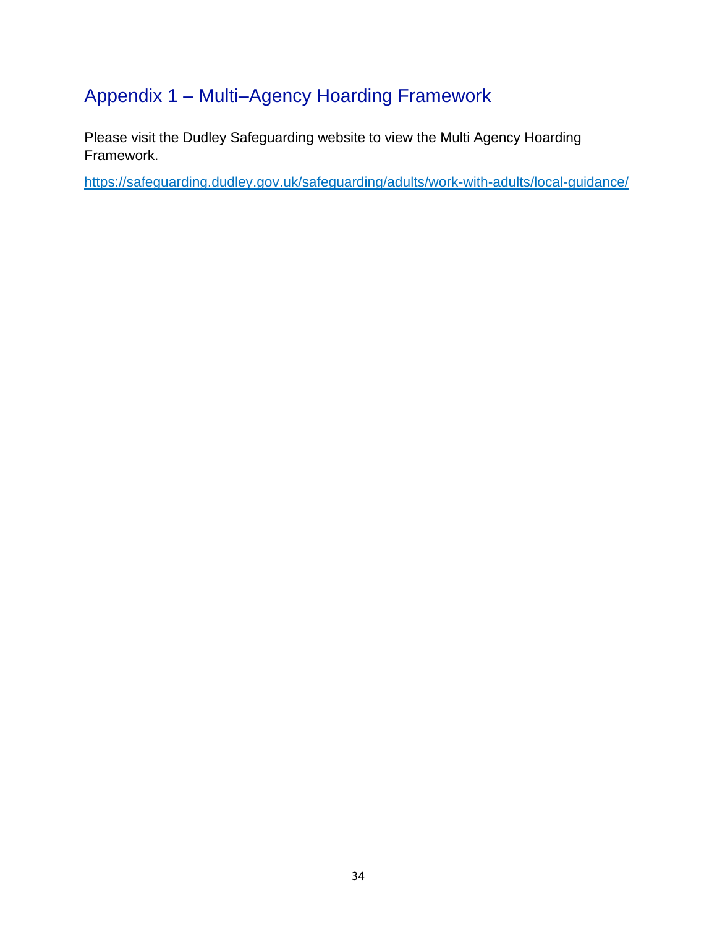# <span id="page-33-0"></span>Appendix 1 – Multi–Agency Hoarding Framework

Please visit the Dudley Safeguarding website to view the Multi Agency Hoarding Framework.

<https://safeguarding.dudley.gov.uk/safeguarding/adults/work-with-adults/local-guidance/>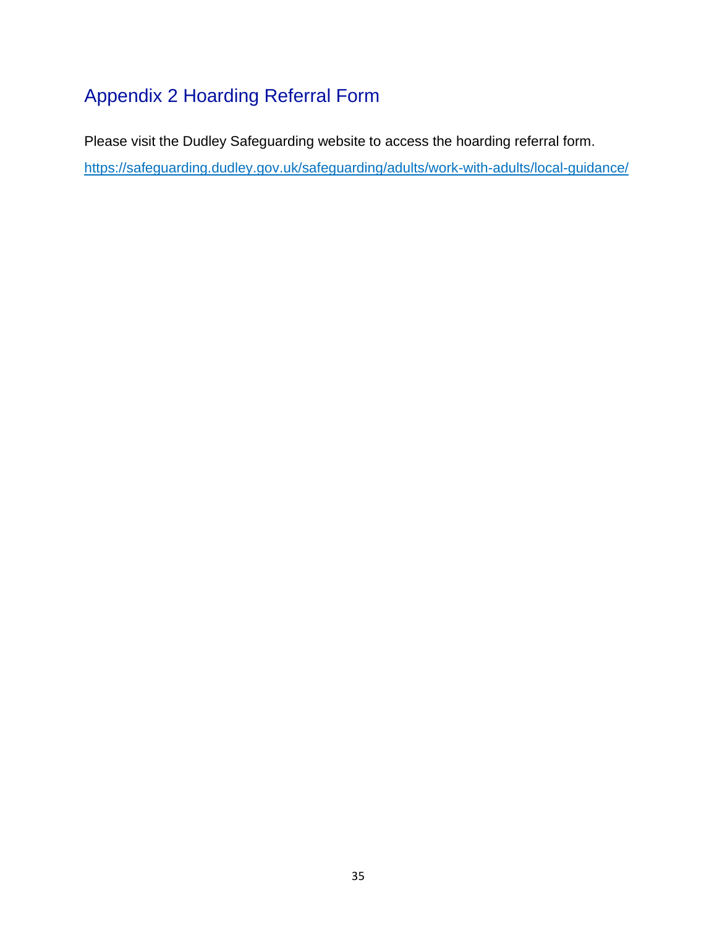# <span id="page-34-0"></span>Appendix 2 Hoarding Referral Form

Please visit the Dudley Safeguarding website to access the hoarding referral form.

<https://safeguarding.dudley.gov.uk/safeguarding/adults/work-with-adults/local-guidance/>